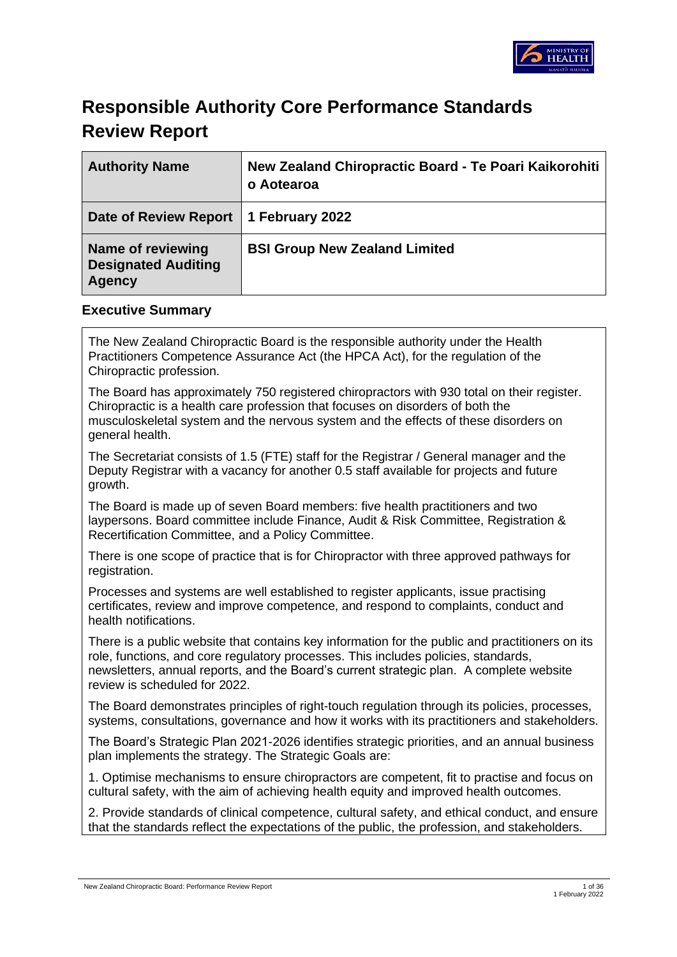

# **Responsible Authority Core Performance Standards Review Report**

| <b>Authority Name</b>                                     | New Zealand Chiropractic Board - Te Poari Kaikorohiti<br>o Aotearoa |
|-----------------------------------------------------------|---------------------------------------------------------------------|
| Date of Review Report                                     | 1 February 2022                                                     |
| Name of reviewing<br><b>Designated Auditing</b><br>Agency | <b>BSI Group New Zealand Limited</b>                                |

### **Executive Summary**

The New Zealand Chiropractic Board is the responsible authority under the Health Practitioners Competence Assurance Act (the HPCA Act), for the regulation of the Chiropractic profession.

The Board has approximately 750 registered chiropractors with 930 total on their register. Chiropractic is a health care profession that focuses on disorders of both the musculoskeletal system and the nervous system and the effects of these disorders on general health.

The Secretariat consists of 1.5 (FTE) staff for the Registrar / General manager and the Deputy Registrar with a vacancy for another 0.5 staff available for projects and future growth.

The Board is made up of seven Board members: five health practitioners and two laypersons. Board committee include Finance, Audit & Risk Committee, Registration & Recertification Committee, and a Policy Committee.

There is one scope of practice that is for Chiropractor with three approved pathways for registration.

Processes and systems are well established to register applicants, issue practising certificates, review and improve competence, and respond to complaints, conduct and health notifications.

There is a public website that contains key information for the public and practitioners on its role, functions, and core regulatory processes. This includes policies, standards, newsletters, annual reports, and the Board's current strategic plan. A complete website review is scheduled for 2022.

The Board demonstrates principles of right-touch regulation through its policies, processes, systems, consultations, governance and how it works with its practitioners and stakeholders.

The Board's Strategic Plan 2021-2026 identifies strategic priorities, and an annual business plan implements the strategy. The Strategic Goals are:

1. Optimise mechanisms to ensure chiropractors are competent, fit to practise and focus on cultural safety, with the aim of achieving health equity and improved health outcomes.

2. Provide standards of clinical competence, cultural safety, and ethical conduct, and ensure that the standards reflect the expectations of the public, the profession, and stakeholders.

New Zealand Chiropractic Board: Performance Review Report 1 of 36 and 2008 and 2008 and 2008 and 2008 and 30 and 30 and 30 and 30 and 30 and 30 and 30 and 30 and 30 and 30 and 30 and 30 and 30 and 30 and 30 and 30 and 30 a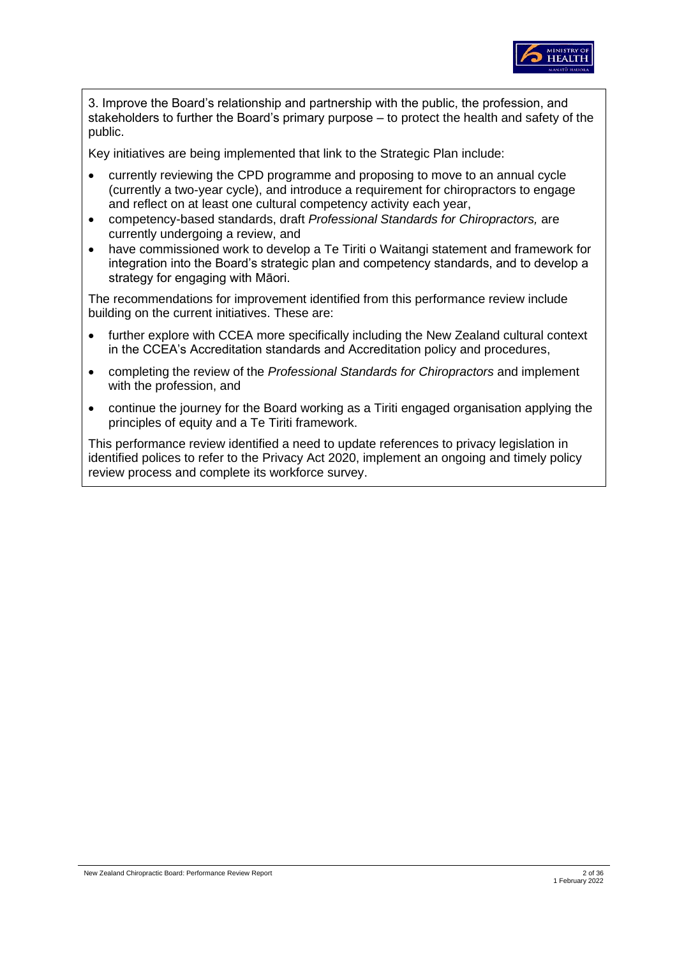

3. Improve the Board's relationship and partnership with the public, the profession, and stakeholders to further the Board's primary purpose – to protect the health and safety of the public.

Key initiatives are being implemented that link to the Strategic Plan include:

- currently reviewing the CPD programme and proposing to move to an annual cycle (currently a two-year cycle), and introduce a requirement for chiropractors to engage and reflect on at least one cultural competency activity each year,
- competency-based standards, draft *Professional Standards for Chiropractors,* are currently undergoing a review, and
- have commissioned work to develop a Te Tiriti o Waitangi statement and framework for integration into the Board's strategic plan and competency standards, and to develop a strategy for engaging with Māori.

The recommendations for improvement identified from this performance review include building on the current initiatives. These are:

- further explore with CCEA more specifically including the New Zealand cultural context in the CCEA's Accreditation standards and Accreditation policy and procedures,
- completing the review of the *Professional Standards for Chiropractors* and implement with the profession, and
- continue the journey for the Board working as a Tiriti engaged organisation applying the principles of equity and a Te Tiriti framework.

This performance review identified a need to update references to privacy legislation in identified polices to refer to the Privacy Act 2020, implement an ongoing and timely policy review process and complete its workforce survey.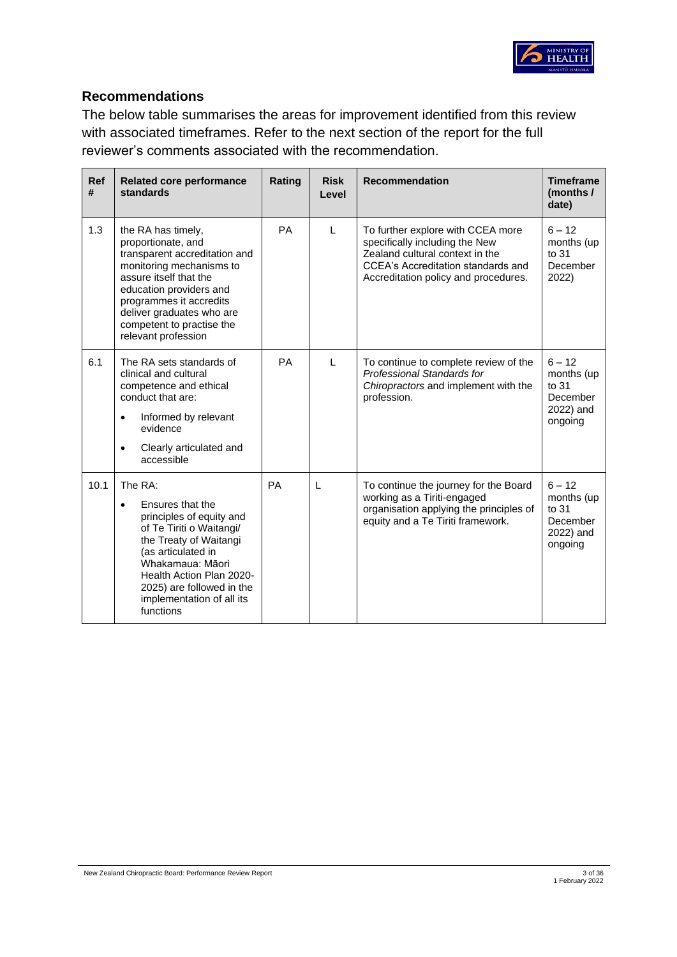

# **Recommendations**

The below table summarises the areas for improvement identified from this review with associated timeframes. Refer to the next section of the report for the full reviewer's comments associated with the recommendation.

| <b>Ref</b><br># | <b>Related core performance</b><br>standards                                                                                                                                                                                                                            | Rating | <b>Risk</b><br>Level | <b>Recommendation</b>                                                                                                                                                                | <b>Timeframe</b><br>(months /<br>date)                                |
|-----------------|-------------------------------------------------------------------------------------------------------------------------------------------------------------------------------------------------------------------------------------------------------------------------|--------|----------------------|--------------------------------------------------------------------------------------------------------------------------------------------------------------------------------------|-----------------------------------------------------------------------|
| 1.3             | the RA has timely,<br>proportionate, and<br>transparent accreditation and<br>monitoring mechanisms to<br>assure itself that the<br>education providers and<br>programmes it accredits<br>deliver graduates who are<br>competent to practise the<br>relevant profession  | PA     | L                    | To further explore with CCEA more<br>specifically including the New<br>Zealand cultural context in the<br>CCEA's Accreditation standards and<br>Accreditation policy and procedures. | $6 - 12$<br>months (up<br>to 31<br>December<br>2022)                  |
| 6.1             | The RA sets standards of<br>clinical and cultural<br>competence and ethical<br>conduct that are:<br>Informed by relevant<br>$\bullet$<br>evidence<br>Clearly articulated and<br>$\bullet$<br>accessible                                                                 | PA     | L                    | To continue to complete review of the<br><b>Professional Standards for</b><br>Chiropractors and implement with the<br>profession.                                                    | $6 - 12$<br>months (up<br>to $31$<br>December<br>2022) and<br>ongoing |
| 10.1            | The RA:<br>Ensures that the<br>$\bullet$<br>principles of equity and<br>of Te Tiriti o Waitangi/<br>the Treaty of Waitangi<br>(as articulated in<br>Whakamaua: Māori<br>Health Action Plan 2020-<br>2025) are followed in the<br>implementation of all its<br>functions | PA     | L                    | To continue the journey for the Board<br>working as a Tiriti-engaged<br>organisation applying the principles of<br>equity and a Te Tiriti framework.                                 | $6 - 12$<br>months (up<br>to 31<br>December<br>2022) and<br>ongoing   |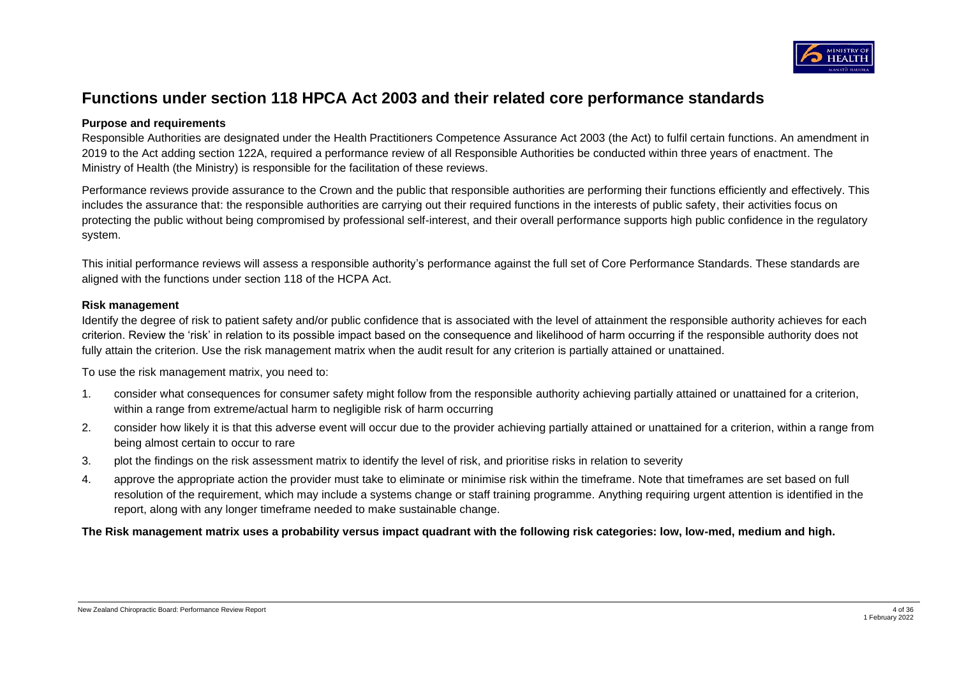

# **Functions under section 118 HPCA Act 2003 and their related core performance standards**

#### **Purpose and requirements**

Responsible Authorities are designated under the Health Practitioners Competence Assurance Act 2003 (the Act) to fulfil certain functions. An amendment in 2019 to the Act adding section 122A, required a performance review of all Responsible Authorities be conducted within three years of enactment. The Ministry of Health (the Ministry) is responsible for the facilitation of these reviews.

Performance reviews provide assurance to the Crown and the public that responsible authorities are performing their functions efficiently and effectively. This includes the assurance that: the responsible authorities are carrying out their required functions in the interests of public safety, their activities focus on protecting the public without being compromised by professional self-interest, and their overall performance supports high public confidence in the regulatory system.

This initial performance reviews will assess a responsible authority's performance against the full set of Core Performance Standards. These standards are aligned with the functions under section 118 of the HCPA Act.

#### **Risk management**

Identify the degree of risk to patient safety and/or public confidence that is associated with the level of attainment the responsible authority achieves for each criterion. Review the 'risk' in relation to its possible impact based on the consequence and likelihood of harm occurring if the responsible authority does not fully attain the criterion. Use the risk management matrix when the audit result for any criterion is partially attained or unattained.

To use the risk management matrix, you need to:

- 1. consider what consequences for consumer safety might follow from the responsible authority achieving partially attained or unattained for a criterion, within a range from extreme/actual harm to negligible risk of harm occurring
- 2. consider how likely it is that this adverse event will occur due to the provider achieving partially attained or unattained for a criterion, within a range from being almost certain to occur to rare
- 3. plot the findings on the risk assessment matrix to identify the level of risk, and prioritise risks in relation to severity
- 4. approve the appropriate action the provider must take to eliminate or minimise risk within the timeframe. Note that timeframes are set based on full resolution of the requirement, which may include a systems change or staff training programme. Anything requiring urgent attention is identified in the report, along with any longer timeframe needed to make sustainable change.

**The Risk management matrix uses a probability versus impact quadrant with the following risk categories: low, low-med, medium and high.**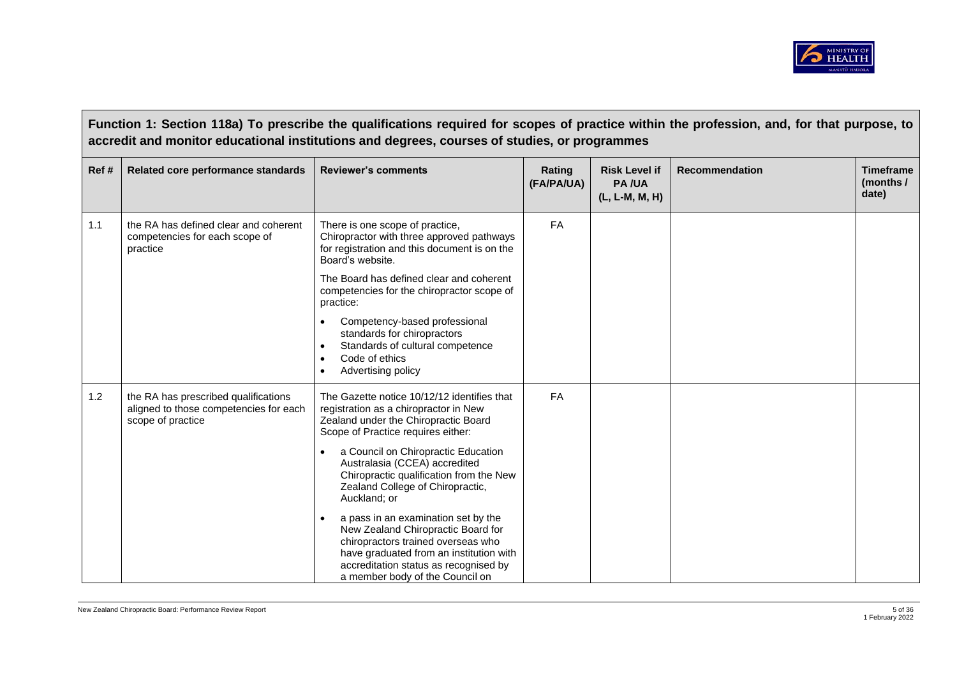

**Function 1: Section 118a) To prescribe the qualifications required for scopes of practice within the profession, and, for that purpose, to accredit and monitor educational institutions and degrees, courses of studies, or programmes Ref # Related core performance standards Reviewer's comments Rating**  Rating **(FA/PA/UA) Risk Level if PA /UA (L, L-M, M, H) Recommendation Timeframe (months / date)** 1.1 **the RA has defined clear and coherent** competencies for each scope of practice There is one scope of practice, Chiropractor with three approved pathways for registration and this document is on the Board's website. The Board has defined clear and coherent competencies for the chiropractor scope of practice: • Competency-based professional standards for chiropractors • Standards of cultural competence Code of ethics • Advertising policy FA 1.2 | the RA has prescribed qualifications aligned to those competencies for each scope of practice The Gazette notice 10/12/12 identifies that registration as a chiropractor in New Zealand under the Chiropractic Board Scope of Practice requires either: a Council on Chiropractic Education Australasia (CCEA) accredited Chiropractic qualification from the New Zealand College of Chiropractic, Auckland; or • a pass in an examination set by the New Zealand Chiropractic Board for chiropractors trained overseas who have graduated from an institution with accreditation status as recognised by a member body of the Council on FA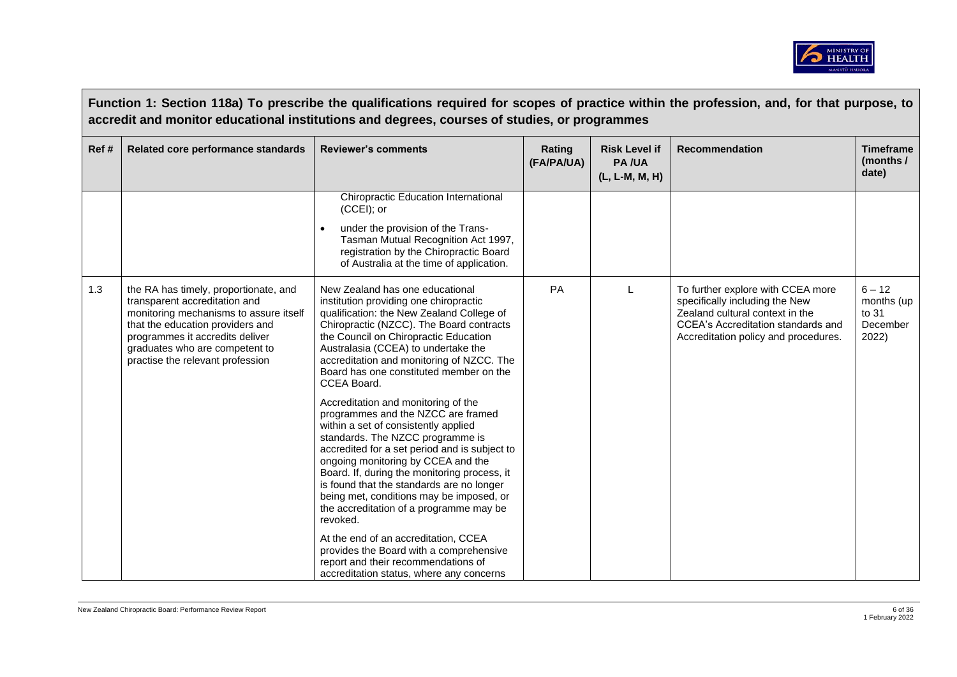

|      |                                                                                                                                                                                                                                                               | Function 1: Section 118a) To prescribe the qualifications required for scopes of practice within the profession, and, for that purpose, to<br>accredit and monitor educational institutions and degrees, courses of studies, or programmes                                                                                                                                                                                                   |                      |                                                        |                                                                                                                                                                                             |                                                      |
|------|---------------------------------------------------------------------------------------------------------------------------------------------------------------------------------------------------------------------------------------------------------------|----------------------------------------------------------------------------------------------------------------------------------------------------------------------------------------------------------------------------------------------------------------------------------------------------------------------------------------------------------------------------------------------------------------------------------------------|----------------------|--------------------------------------------------------|---------------------------------------------------------------------------------------------------------------------------------------------------------------------------------------------|------------------------------------------------------|
| Ref# | Related core performance standards                                                                                                                                                                                                                            | <b>Reviewer's comments</b>                                                                                                                                                                                                                                                                                                                                                                                                                   | Rating<br>(FA/PA/UA) | <b>Risk Level if</b><br><b>PA/UA</b><br>(L, L-M, M, H) | <b>Recommendation</b>                                                                                                                                                                       | <b>Timeframe</b><br>(months /<br>date)               |
|      |                                                                                                                                                                                                                                                               | Chiropractic Education International<br>(CCEI); or<br>under the provision of the Trans-<br>$\bullet$<br>Tasman Mutual Recognition Act 1997,<br>registration by the Chiropractic Board<br>of Australia at the time of application.                                                                                                                                                                                                            |                      |                                                        |                                                                                                                                                                                             |                                                      |
| 1.3  | the RA has timely, proportionate, and<br>transparent accreditation and<br>monitoring mechanisms to assure itself<br>that the education providers and<br>programmes it accredits deliver<br>graduates who are competent to<br>practise the relevant profession | New Zealand has one educational<br>institution providing one chiropractic<br>qualification: the New Zealand College of<br>Chiropractic (NZCC). The Board contracts<br>the Council on Chiropractic Education<br>Australasia (CCEA) to undertake the<br>accreditation and monitoring of NZCC. The<br>Board has one constituted member on the<br>CCEA Board.                                                                                    | PA                   |                                                        | To further explore with CCEA more<br>specifically including the New<br>Zealand cultural context in the<br><b>CCEA's Accreditation standards and</b><br>Accreditation policy and procedures. | $6 - 12$<br>months (up<br>to 31<br>December<br>2022) |
|      |                                                                                                                                                                                                                                                               | Accreditation and monitoring of the<br>programmes and the NZCC are framed<br>within a set of consistently applied<br>standards. The NZCC programme is<br>accredited for a set period and is subject to<br>ongoing monitoring by CCEA and the<br>Board. If, during the monitoring process, it<br>is found that the standards are no longer<br>being met, conditions may be imposed, or<br>the accreditation of a programme may be<br>revoked. |                      |                                                        |                                                                                                                                                                                             |                                                      |
|      |                                                                                                                                                                                                                                                               | At the end of an accreditation, CCEA<br>provides the Board with a comprehensive<br>report and their recommendations of<br>accreditation status, where any concerns                                                                                                                                                                                                                                                                           |                      |                                                        |                                                                                                                                                                                             |                                                      |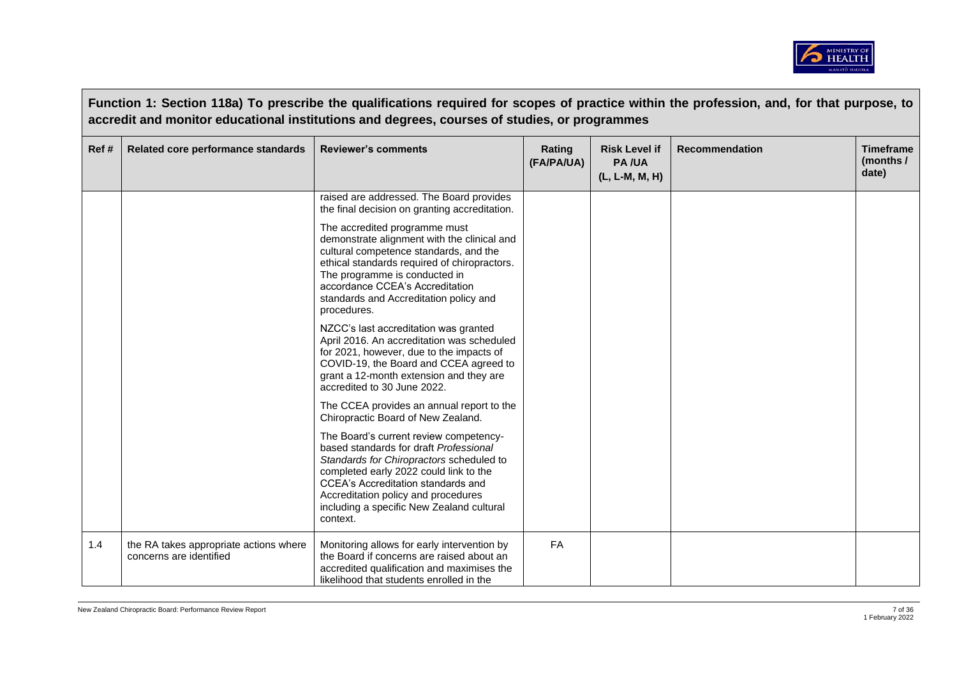

|       |                                                                   | Function 1: Section 118a) To prescribe the qualifications required for scopes of practice within the profession, and, for that purpose, to<br>accredit and monitor educational institutions and degrees, courses of studies, or programmes                                                                          |                      |                                                        |                       |                                        |
|-------|-------------------------------------------------------------------|---------------------------------------------------------------------------------------------------------------------------------------------------------------------------------------------------------------------------------------------------------------------------------------------------------------------|----------------------|--------------------------------------------------------|-----------------------|----------------------------------------|
| Ref # | Related core performance standards                                | <b>Reviewer's comments</b>                                                                                                                                                                                                                                                                                          | Rating<br>(FA/PA/UA) | <b>Risk Level if</b><br><b>PA/UA</b><br>(L, L-M, M, H) | <b>Recommendation</b> | <b>Timeframe</b><br>(months /<br>date) |
|       |                                                                   | raised are addressed. The Board provides<br>the final decision on granting accreditation.                                                                                                                                                                                                                           |                      |                                                        |                       |                                        |
|       |                                                                   | The accredited programme must<br>demonstrate alignment with the clinical and<br>cultural competence standards, and the<br>ethical standards required of chiropractors.<br>The programme is conducted in<br>accordance CCEA's Accreditation<br>standards and Accreditation policy and<br>procedures.                 |                      |                                                        |                       |                                        |
|       |                                                                   | NZCC's last accreditation was granted<br>April 2016. An accreditation was scheduled<br>for 2021, however, due to the impacts of<br>COVID-19, the Board and CCEA agreed to<br>grant a 12-month extension and they are<br>accredited to 30 June 2022.                                                                 |                      |                                                        |                       |                                        |
|       |                                                                   | The CCEA provides an annual report to the<br>Chiropractic Board of New Zealand.                                                                                                                                                                                                                                     |                      |                                                        |                       |                                        |
|       |                                                                   | The Board's current review competency-<br>based standards for draft Professional<br>Standards for Chiropractors scheduled to<br>completed early 2022 could link to the<br><b>CCEA's Accreditation standards and</b><br>Accreditation policy and procedures<br>including a specific New Zealand cultural<br>context. |                      |                                                        |                       |                                        |
| 1.4   | the RA takes appropriate actions where<br>concerns are identified | Monitoring allows for early intervention by<br>the Board if concerns are raised about an<br>accredited qualification and maximises the<br>likelihood that students enrolled in the                                                                                                                                  | FA                   |                                                        |                       |                                        |

 $\sqrt{2}$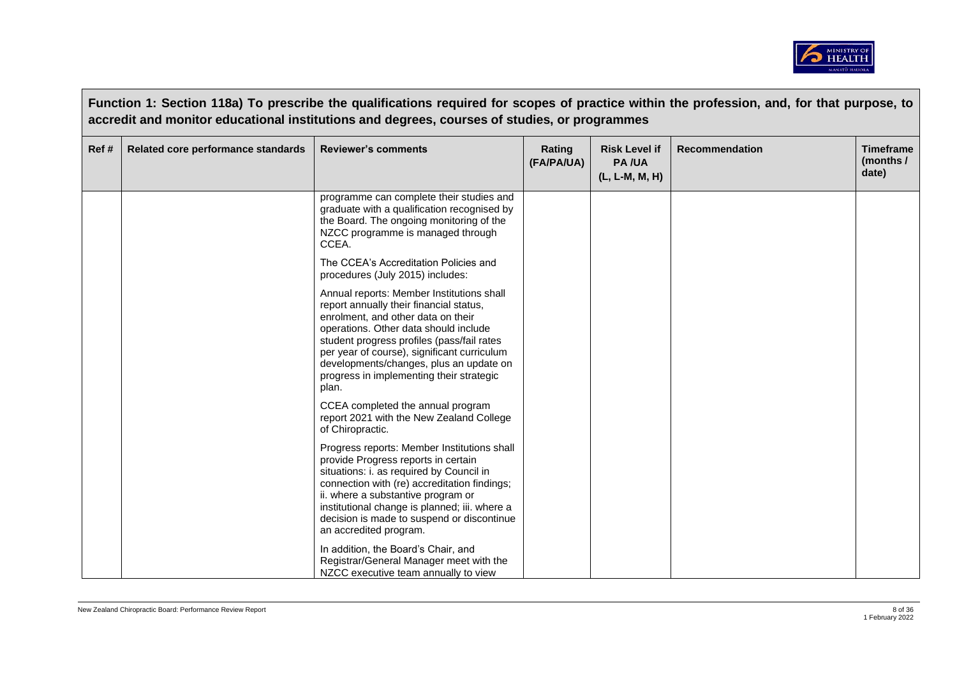

|      |                                    | Function 1: Section 118a) To prescribe the qualifications required for scopes of practice within the profession, and, for that purpose, to<br>accredit and monitor educational institutions and degrees, courses of studies, or programmes                                                                                                                       |                      |                                                        |                       |                                        |
|------|------------------------------------|------------------------------------------------------------------------------------------------------------------------------------------------------------------------------------------------------------------------------------------------------------------------------------------------------------------------------------------------------------------|----------------------|--------------------------------------------------------|-----------------------|----------------------------------------|
| Ref# | Related core performance standards | <b>Reviewer's comments</b>                                                                                                                                                                                                                                                                                                                                       | Rating<br>(FA/PA/UA) | <b>Risk Level if</b><br><b>PA/UA</b><br>(L, L-M, M, H) | <b>Recommendation</b> | <b>Timeframe</b><br>(months /<br>date) |
|      |                                    | programme can complete their studies and<br>graduate with a qualification recognised by<br>the Board. The ongoing monitoring of the<br>NZCC programme is managed through<br>CCEA.                                                                                                                                                                                |                      |                                                        |                       |                                        |
|      |                                    | The CCEA's Accreditation Policies and<br>procedures (July 2015) includes:                                                                                                                                                                                                                                                                                        |                      |                                                        |                       |                                        |
|      |                                    | Annual reports: Member Institutions shall<br>report annually their financial status,<br>enrolment, and other data on their<br>operations. Other data should include<br>student progress profiles (pass/fail rates<br>per year of course), significant curriculum<br>developments/changes, plus an update on<br>progress in implementing their strategic<br>plan. |                      |                                                        |                       |                                        |
|      |                                    | CCEA completed the annual program<br>report 2021 with the New Zealand College<br>of Chiropractic.                                                                                                                                                                                                                                                                |                      |                                                        |                       |                                        |
|      |                                    | Progress reports: Member Institutions shall<br>provide Progress reports in certain<br>situations: i. as required by Council in<br>connection with (re) accreditation findings;<br>ii. where a substantive program or<br>institutional change is planned; iii. where a<br>decision is made to suspend or discontinue<br>an accredited program.                    |                      |                                                        |                       |                                        |
|      |                                    | In addition, the Board's Chair, and<br>Registrar/General Manager meet with the<br>NZCC executive team annually to view                                                                                                                                                                                                                                           |                      |                                                        |                       |                                        |

 $\overline{\phantom{a}}$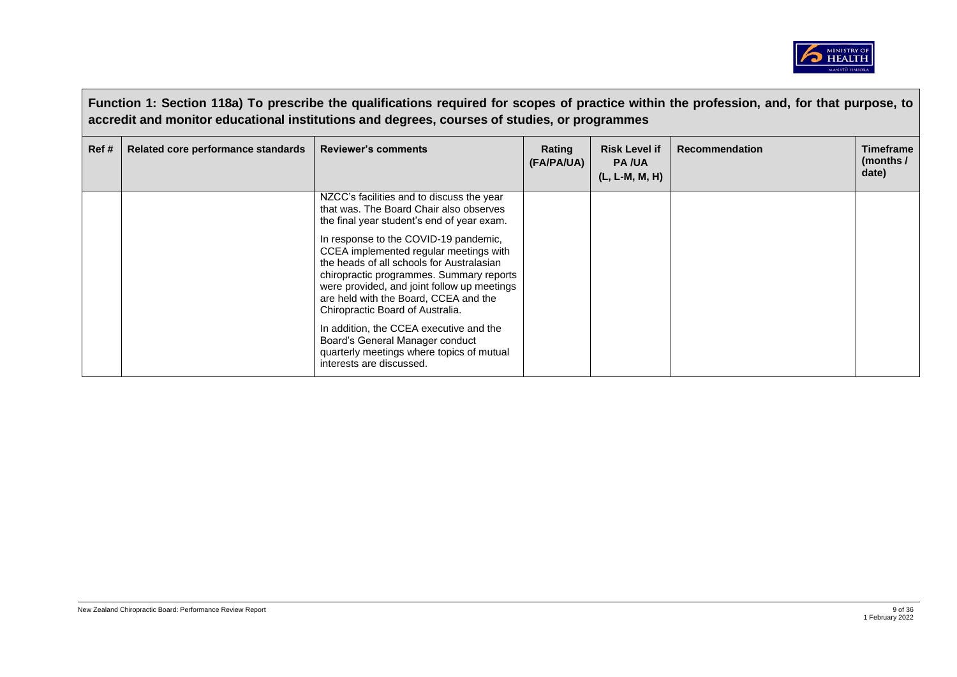

|       | Function 1: Section 118a) To prescribe the qualifications required for scopes of practice within the profession, and, for that purpose, to<br>accredit and monitor educational institutions and degrees, courses of studies, or programmes |                                                                                                                                                                                                                                                                                                                                                                                                                                            |                      |                                                          |                       |                                        |  |
|-------|--------------------------------------------------------------------------------------------------------------------------------------------------------------------------------------------------------------------------------------------|--------------------------------------------------------------------------------------------------------------------------------------------------------------------------------------------------------------------------------------------------------------------------------------------------------------------------------------------------------------------------------------------------------------------------------------------|----------------------|----------------------------------------------------------|-----------------------|----------------------------------------|--|
| Ref # | Related core performance standards                                                                                                                                                                                                         | <b>Reviewer's comments</b>                                                                                                                                                                                                                                                                                                                                                                                                                 | Rating<br>(FA/PA/UA) | <b>Risk Level if</b><br><b>PA/UA</b><br>$(L, L-M, M, H)$ | <b>Recommendation</b> | <b>Timeframe</b><br>(months /<br>date) |  |
|       |                                                                                                                                                                                                                                            | NZCC's facilities and to discuss the year<br>that was. The Board Chair also observes<br>the final year student's end of year exam.<br>In response to the COVID-19 pandemic,<br>CCEA implemented regular meetings with<br>the heads of all schools for Australasian<br>chiropractic programmes. Summary reports<br>were provided, and joint follow up meetings<br>are held with the Board, CCEA and the<br>Chiropractic Board of Australia. |                      |                                                          |                       |                                        |  |
|       |                                                                                                                                                                                                                                            | In addition, the CCEA executive and the<br>Board's General Manager conduct<br>quarterly meetings where topics of mutual<br>interests are discussed.                                                                                                                                                                                                                                                                                        |                      |                                                          |                       |                                        |  |

 $\sqrt{2}$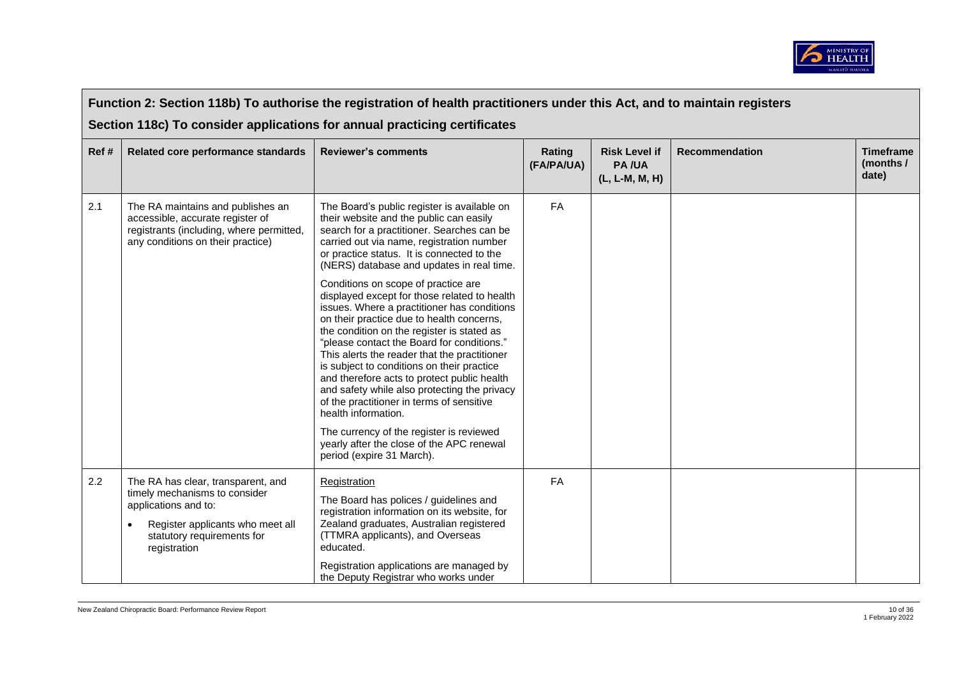

|      | Function 2: Section 118b) To authorise the registration of health practitioners under this Act, and to maintain registers                                                     |                                                                                                                                                                                                                                                                                                                                                                                                                                                                                                                                                                                                                                                                                                                                                                                                                                                                                                                                                    |                      |                                                          |                       |                                        |  |  |
|------|-------------------------------------------------------------------------------------------------------------------------------------------------------------------------------|----------------------------------------------------------------------------------------------------------------------------------------------------------------------------------------------------------------------------------------------------------------------------------------------------------------------------------------------------------------------------------------------------------------------------------------------------------------------------------------------------------------------------------------------------------------------------------------------------------------------------------------------------------------------------------------------------------------------------------------------------------------------------------------------------------------------------------------------------------------------------------------------------------------------------------------------------|----------------------|----------------------------------------------------------|-----------------------|----------------------------------------|--|--|
|      | Section 118c) To consider applications for annual practicing certificates                                                                                                     |                                                                                                                                                                                                                                                                                                                                                                                                                                                                                                                                                                                                                                                                                                                                                                                                                                                                                                                                                    |                      |                                                          |                       |                                        |  |  |
| Ref# | Related core performance standards                                                                                                                                            | <b>Reviewer's comments</b>                                                                                                                                                                                                                                                                                                                                                                                                                                                                                                                                                                                                                                                                                                                                                                                                                                                                                                                         | Rating<br>(FA/PA/UA) | <b>Risk Level if</b><br><b>PA/UA</b><br>$(L, L-M, M, H)$ | <b>Recommendation</b> | <b>Timeframe</b><br>(months /<br>date) |  |  |
| 2.1  | The RA maintains and publishes an<br>accessible, accurate register of<br>registrants (including, where permitted,<br>any conditions on their practice)                        | The Board's public register is available on<br>their website and the public can easily<br>search for a practitioner. Searches can be<br>carried out via name, registration number<br>or practice status. It is connected to the<br>(NERS) database and updates in real time.<br>Conditions on scope of practice are<br>displayed except for those related to health<br>issues. Where a practitioner has conditions<br>on their practice due to health concerns,<br>the condition on the register is stated as<br>"please contact the Board for conditions."<br>This alerts the reader that the practitioner<br>is subject to conditions on their practice<br>and therefore acts to protect public health<br>and safety while also protecting the privacy<br>of the practitioner in terms of sensitive<br>health information.<br>The currency of the register is reviewed<br>yearly after the close of the APC renewal<br>period (expire 31 March). | <b>FA</b>            |                                                          |                       |                                        |  |  |
| 2.2  | The RA has clear, transparent, and<br>timely mechanisms to consider<br>applications and to:<br>Register applicants who meet all<br>statutory requirements for<br>registration | Registration<br>The Board has polices / guidelines and<br>registration information on its website, for<br>Zealand graduates, Australian registered<br>(TTMRA applicants), and Overseas<br>educated.<br>Registration applications are managed by<br>the Deputy Registrar who works under                                                                                                                                                                                                                                                                                                                                                                                                                                                                                                                                                                                                                                                            | FA                   |                                                          |                       |                                        |  |  |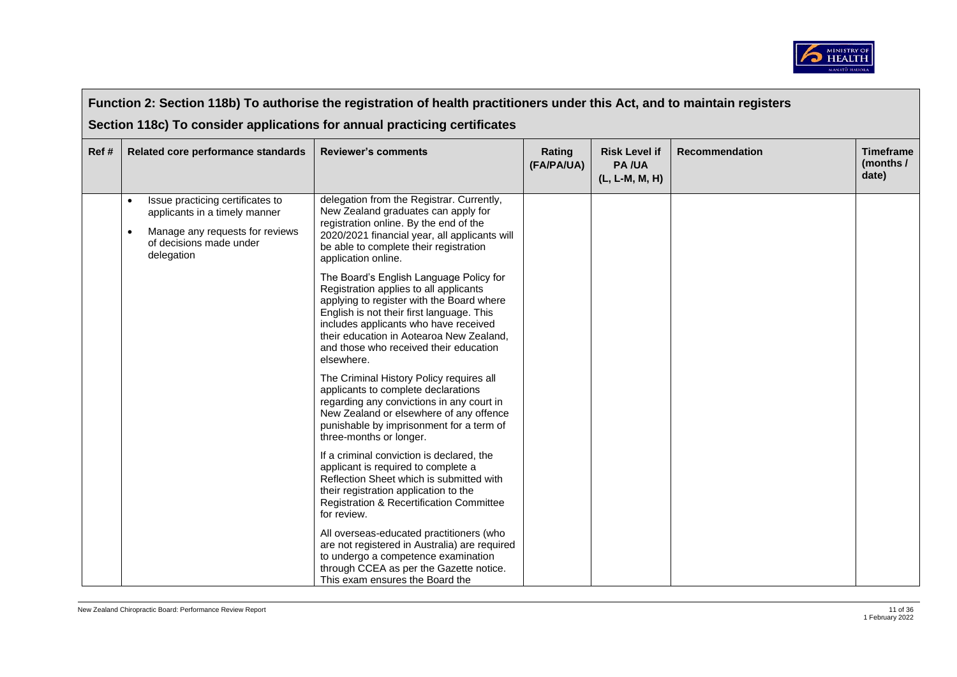

|      | Function 2: Section 118b) To authorise the registration of health practitioners under this Act, and to maintain registers                     |                                                                                                                                                                                                                                                                                         |                      |                                                        |                       |                                        |  |
|------|-----------------------------------------------------------------------------------------------------------------------------------------------|-----------------------------------------------------------------------------------------------------------------------------------------------------------------------------------------------------------------------------------------------------------------------------------------|----------------------|--------------------------------------------------------|-----------------------|----------------------------------------|--|
|      |                                                                                                                                               | Section 118c) To consider applications for annual practicing certificates                                                                                                                                                                                                               |                      |                                                        |                       |                                        |  |
| Ref# | Related core performance standards                                                                                                            | <b>Reviewer's comments</b>                                                                                                                                                                                                                                                              | Rating<br>(FA/PA/UA) | <b>Risk Level if</b><br><b>PA/UA</b><br>(L, L-M, M, H) | <b>Recommendation</b> | <b>Timeframe</b><br>(months /<br>date) |  |
|      | Issue practicing certificates to<br>applicants in a timely manner<br>Manage any requests for reviews<br>of decisions made under<br>delegation | delegation from the Registrar. Currently,<br>New Zealand graduates can apply for<br>registration online. By the end of the<br>2020/2021 financial year, all applicants will<br>be able to complete their registration<br>application online.<br>The Board's English Language Policy for |                      |                                                        |                       |                                        |  |
|      |                                                                                                                                               | Registration applies to all applicants<br>applying to register with the Board where<br>English is not their first language. This<br>includes applicants who have received<br>their education in Aotearoa New Zealand,<br>and those who received their education<br>elsewhere.           |                      |                                                        |                       |                                        |  |
|      |                                                                                                                                               | The Criminal History Policy requires all<br>applicants to complete declarations<br>regarding any convictions in any court in<br>New Zealand or elsewhere of any offence<br>punishable by imprisonment for a term of<br>three-months or longer.                                          |                      |                                                        |                       |                                        |  |
|      |                                                                                                                                               | If a criminal conviction is declared, the<br>applicant is required to complete a<br>Reflection Sheet which is submitted with<br>their registration application to the<br><b>Registration &amp; Recertification Committee</b><br>for review.                                             |                      |                                                        |                       |                                        |  |
|      |                                                                                                                                               | All overseas-educated practitioners (who<br>are not registered in Australia) are required<br>to undergo a competence examination<br>through CCEA as per the Gazette notice.<br>This exam ensures the Board the                                                                          |                      |                                                        |                       |                                        |  |

 $\Gamma$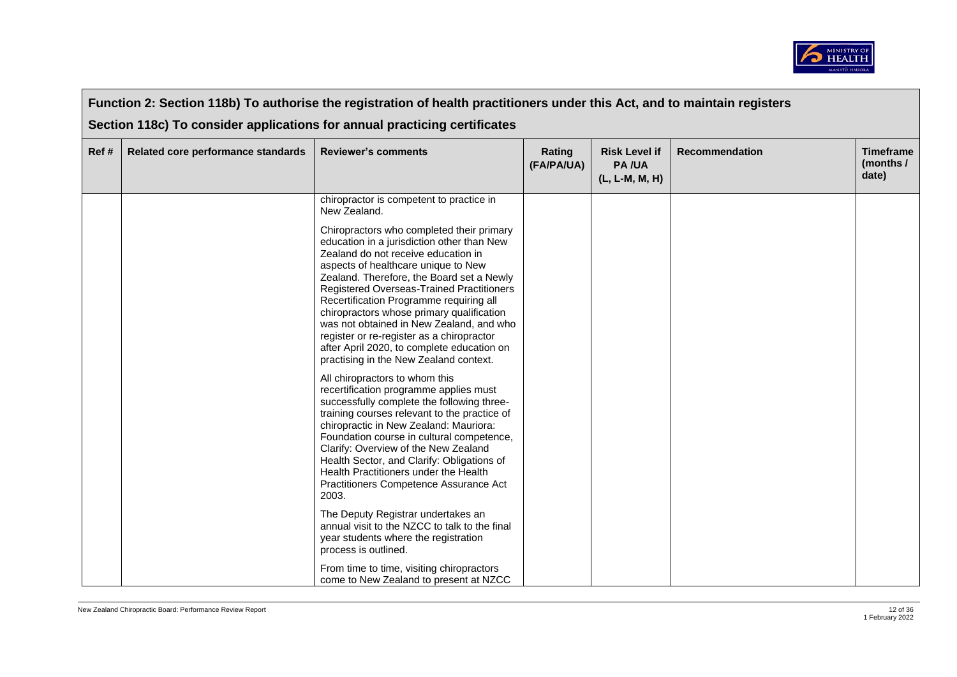

|       | Function 2: Section 118b) To authorise the registration of health practitioners under this Act, and to maintain registers |                                                                                                                                                                                                                                                                                                                                                                                                                                                                                                                                          |                      |                                                        |                       |                                        |  |  |
|-------|---------------------------------------------------------------------------------------------------------------------------|------------------------------------------------------------------------------------------------------------------------------------------------------------------------------------------------------------------------------------------------------------------------------------------------------------------------------------------------------------------------------------------------------------------------------------------------------------------------------------------------------------------------------------------|----------------------|--------------------------------------------------------|-----------------------|----------------------------------------|--|--|
|       |                                                                                                                           | Section 118c) To consider applications for annual practicing certificates                                                                                                                                                                                                                                                                                                                                                                                                                                                                |                      |                                                        |                       |                                        |  |  |
| Ref # | Related core performance standards                                                                                        | <b>Reviewer's comments</b>                                                                                                                                                                                                                                                                                                                                                                                                                                                                                                               | Rating<br>(FA/PA/UA) | <b>Risk Level if</b><br><b>PA/UA</b><br>(L, L-M, M, H) | <b>Recommendation</b> | <b>Timeframe</b><br>(months /<br>date) |  |  |
|       |                                                                                                                           | chiropractor is competent to practice in<br>New Zealand.                                                                                                                                                                                                                                                                                                                                                                                                                                                                                 |                      |                                                        |                       |                                        |  |  |
|       |                                                                                                                           | Chiropractors who completed their primary<br>education in a jurisdiction other than New<br>Zealand do not receive education in<br>aspects of healthcare unique to New<br>Zealand. Therefore, the Board set a Newly<br>Registered Overseas-Trained Practitioners<br>Recertification Programme requiring all<br>chiropractors whose primary qualification<br>was not obtained in New Zealand, and who<br>register or re-register as a chiropractor<br>after April 2020, to complete education on<br>practising in the New Zealand context. |                      |                                                        |                       |                                        |  |  |
|       |                                                                                                                           | All chiropractors to whom this<br>recertification programme applies must<br>successfully complete the following three-<br>training courses relevant to the practice of<br>chiropractic in New Zealand: Mauriora:<br>Foundation course in cultural competence,<br>Clarify: Overview of the New Zealand<br>Health Sector, and Clarify: Obligations of<br>Health Practitioners under the Health<br>Practitioners Competence Assurance Act<br>2003.                                                                                          |                      |                                                        |                       |                                        |  |  |
|       |                                                                                                                           | The Deputy Registrar undertakes an<br>annual visit to the NZCC to talk to the final<br>year students where the registration<br>process is outlined.                                                                                                                                                                                                                                                                                                                                                                                      |                      |                                                        |                       |                                        |  |  |
|       |                                                                                                                           | From time to time, visiting chiropractors<br>come to New Zealand to present at NZCC                                                                                                                                                                                                                                                                                                                                                                                                                                                      |                      |                                                        |                       |                                        |  |  |

 $\overline{\phantom{a}}$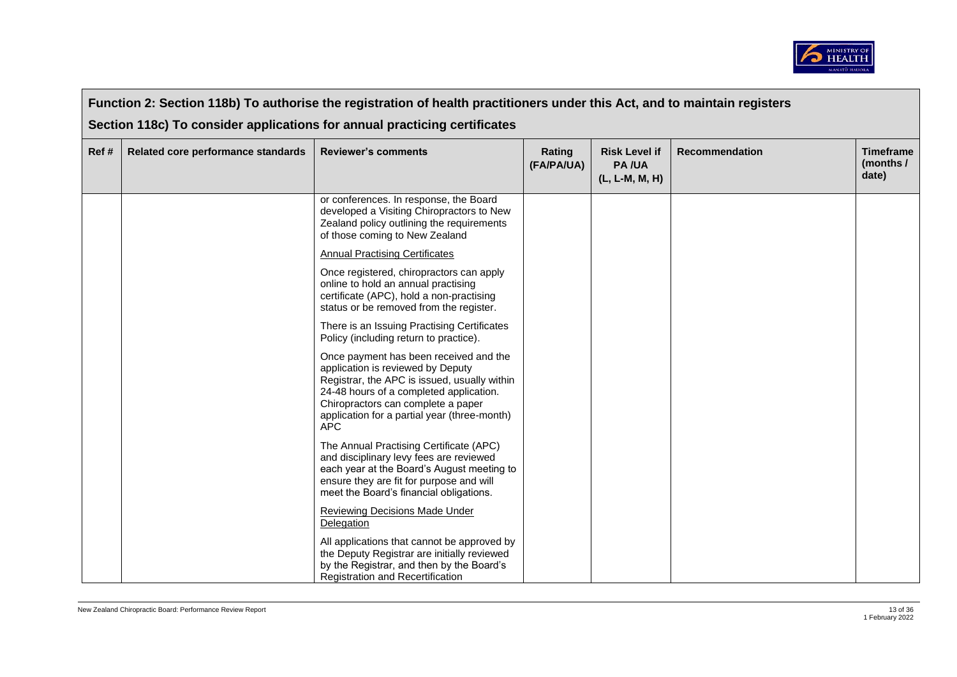

|      |                                    | Function 2: Section 118b) To authorise the registration of health practitioners under this Act, and to maintain registers                                                                                                                                                  |                      |                                                        |                       |                                        |
|------|------------------------------------|----------------------------------------------------------------------------------------------------------------------------------------------------------------------------------------------------------------------------------------------------------------------------|----------------------|--------------------------------------------------------|-----------------------|----------------------------------------|
|      |                                    | Section 118c) To consider applications for annual practicing certificates                                                                                                                                                                                                  |                      |                                                        |                       |                                        |
| Ref# | Related core performance standards | <b>Reviewer's comments</b>                                                                                                                                                                                                                                                 | Rating<br>(FA/PA/UA) | <b>Risk Level if</b><br><b>PA/UA</b><br>(L, L-M, M, H) | <b>Recommendation</b> | <b>Timeframe</b><br>(months /<br>date) |
|      |                                    | or conferences. In response, the Board<br>developed a Visiting Chiropractors to New<br>Zealand policy outlining the requirements<br>of those coming to New Zealand                                                                                                         |                      |                                                        |                       |                                        |
|      |                                    | <b>Annual Practising Certificates</b>                                                                                                                                                                                                                                      |                      |                                                        |                       |                                        |
|      |                                    | Once registered, chiropractors can apply<br>online to hold an annual practising<br>certificate (APC), hold a non-practising<br>status or be removed from the register.                                                                                                     |                      |                                                        |                       |                                        |
|      |                                    | There is an Issuing Practising Certificates<br>Policy (including return to practice).                                                                                                                                                                                      |                      |                                                        |                       |                                        |
|      |                                    | Once payment has been received and the<br>application is reviewed by Deputy<br>Registrar, the APC is issued, usually within<br>24-48 hours of a completed application.<br>Chiropractors can complete a paper<br>application for a partial year (three-month)<br><b>APC</b> |                      |                                                        |                       |                                        |
|      |                                    | The Annual Practising Certificate (APC)<br>and disciplinary levy fees are reviewed<br>each year at the Board's August meeting to<br>ensure they are fit for purpose and will<br>meet the Board's financial obligations.                                                    |                      |                                                        |                       |                                        |
|      |                                    | <b>Reviewing Decisions Made Under</b><br>Delegation                                                                                                                                                                                                                        |                      |                                                        |                       |                                        |
|      |                                    | All applications that cannot be approved by<br>the Deputy Registrar are initially reviewed<br>by the Registrar, and then by the Board's<br>Registration and Recertification                                                                                                |                      |                                                        |                       |                                        |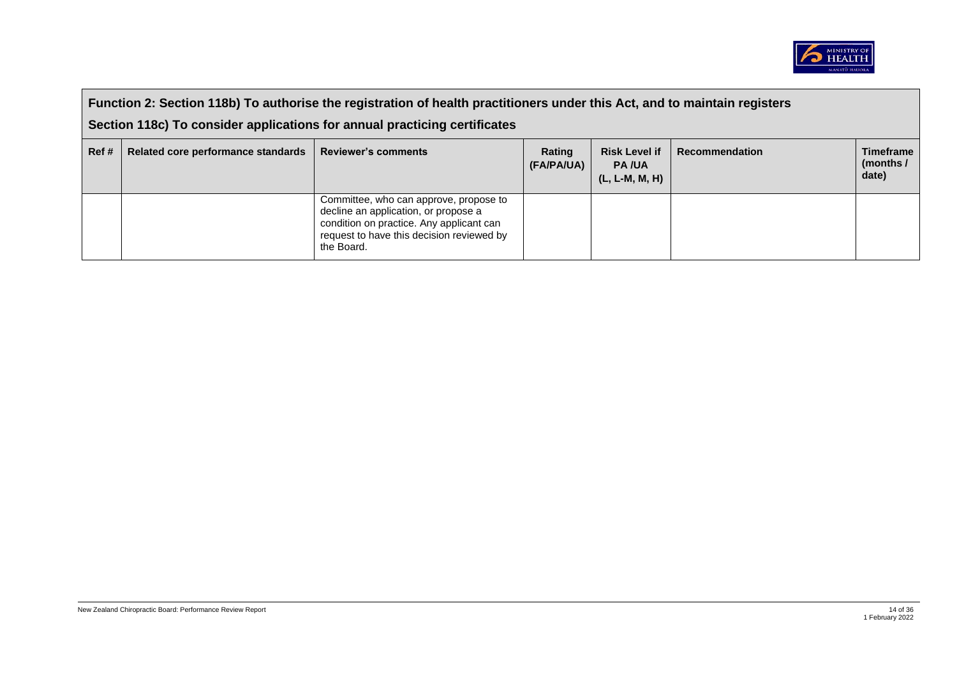

|      | Function 2: Section 118b) To authorise the registration of health practitioners under this Act, and to maintain registers<br>Section 118c) To consider applications for annual practicing certificates |                                                                                                                                                                                       |                      |                                                          |                       |                                          |
|------|--------------------------------------------------------------------------------------------------------------------------------------------------------------------------------------------------------|---------------------------------------------------------------------------------------------------------------------------------------------------------------------------------------|----------------------|----------------------------------------------------------|-----------------------|------------------------------------------|
| Ref# | Related core performance standards                                                                                                                                                                     | <b>Reviewer's comments</b>                                                                                                                                                            | Rating<br>(FA/PA/UA) | <b>Risk Level if</b><br><b>PA/UA</b><br>$(L, L-M, M, H)$ | <b>Recommendation</b> | <b>Timeframe</b><br>(months $/$<br>date) |
|      |                                                                                                                                                                                                        | Committee, who can approve, propose to<br>decline an application, or propose a<br>condition on practice. Any applicant can<br>request to have this decision reviewed by<br>the Board. |                      |                                                          |                       |                                          |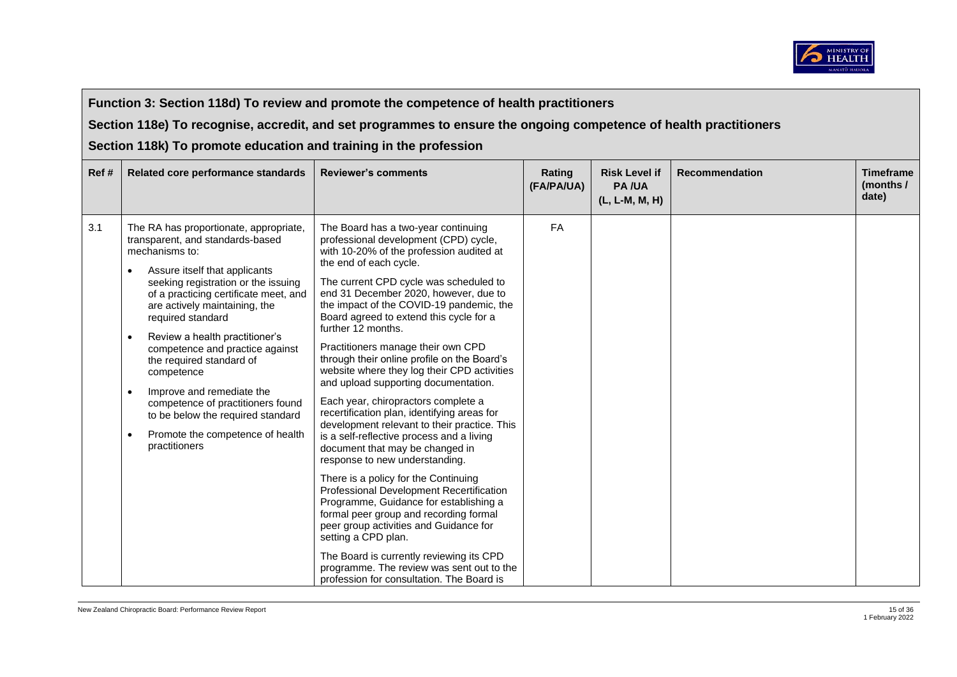

## **Function 3: Section 118d) To review and promote the competence of health practitioners**

**Section 118e) To recognise, accredit, and set programmes to ensure the ongoing competence of health practitioners** 

**Section 118k) To promote education and training in the profession**

| Ref# | Related core performance standards                                                                                                                                                                                                                                                                                                                                                                                                                                                                                                                                       | <b>Reviewer's comments</b>                                                                                                                                                                                                                                                                                                                                                                                                                                                                                                                                                                                                                                                                                                                                                                                                                                                                                                                                                                                                                                                                                                                                            | Rating<br>(FA/PA/UA) | <b>Risk Level if</b><br><b>PA/UA</b><br>(L, L-M, M, H) | <b>Recommendation</b> | <b>Timeframe</b><br>(months /<br>date) |
|------|--------------------------------------------------------------------------------------------------------------------------------------------------------------------------------------------------------------------------------------------------------------------------------------------------------------------------------------------------------------------------------------------------------------------------------------------------------------------------------------------------------------------------------------------------------------------------|-----------------------------------------------------------------------------------------------------------------------------------------------------------------------------------------------------------------------------------------------------------------------------------------------------------------------------------------------------------------------------------------------------------------------------------------------------------------------------------------------------------------------------------------------------------------------------------------------------------------------------------------------------------------------------------------------------------------------------------------------------------------------------------------------------------------------------------------------------------------------------------------------------------------------------------------------------------------------------------------------------------------------------------------------------------------------------------------------------------------------------------------------------------------------|----------------------|--------------------------------------------------------|-----------------------|----------------------------------------|
| 3.1  | The RA has proportionate, appropriate,<br>transparent, and standards-based<br>mechanisms to:<br>Assure itself that applicants<br>seeking registration or the issuing<br>of a practicing certificate meet, and<br>are actively maintaining, the<br>required standard<br>Review a health practitioner's<br>$\bullet$<br>competence and practice against<br>the required standard of<br>competence<br>Improve and remediate the<br>$\bullet$<br>competence of practitioners found<br>to be below the required standard<br>Promote the competence of health<br>practitioners | The Board has a two-year continuing<br>professional development (CPD) cycle,<br>with 10-20% of the profession audited at<br>the end of each cycle.<br>The current CPD cycle was scheduled to<br>end 31 December 2020, however, due to<br>the impact of the COVID-19 pandemic, the<br>Board agreed to extend this cycle for a<br>further 12 months.<br>Practitioners manage their own CPD<br>through their online profile on the Board's<br>website where they log their CPD activities<br>and upload supporting documentation.<br>Each year, chiropractors complete a<br>recertification plan, identifying areas for<br>development relevant to their practice. This<br>is a self-reflective process and a living<br>document that may be changed in<br>response to new understanding.<br>There is a policy for the Continuing<br>Professional Development Recertification<br>Programme, Guidance for establishing a<br>formal peer group and recording formal<br>peer group activities and Guidance for<br>setting a CPD plan.<br>The Board is currently reviewing its CPD<br>programme. The review was sent out to the<br>profession for consultation. The Board is | FA                   |                                                        |                       |                                        |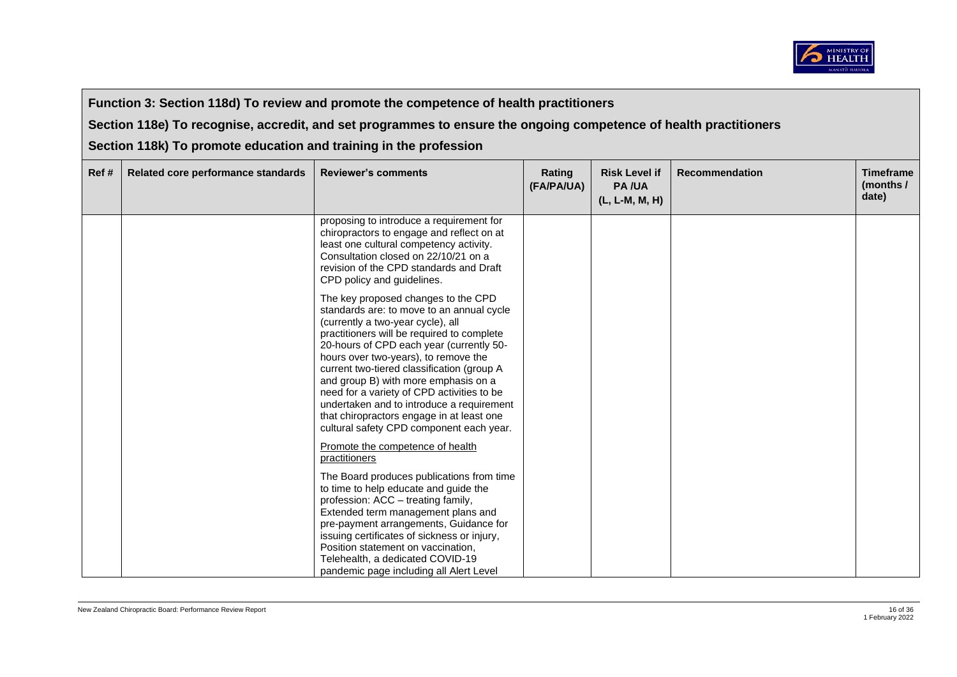

# **Function 3: Section 118d) To review and promote the competence of health practitioners**

**Section 118e) To recognise, accredit, and set programmes to ensure the ongoing competence of health practitioners** 

**Section 118k) To promote education and training in the profession**

| Ref# | Related core performance standards | <b>Reviewer's comments</b>                                                                                                                                                                                                                                                                                                                                                                                                                                                                                                        | Rating<br>(FA/PA/UA) | <b>Risk Level if</b><br><b>PA/UA</b><br>(L, L-M, M, H) | <b>Recommendation</b> | <b>Timeframe</b><br>(months /<br>date) |
|------|------------------------------------|-----------------------------------------------------------------------------------------------------------------------------------------------------------------------------------------------------------------------------------------------------------------------------------------------------------------------------------------------------------------------------------------------------------------------------------------------------------------------------------------------------------------------------------|----------------------|--------------------------------------------------------|-----------------------|----------------------------------------|
|      |                                    | proposing to introduce a requirement for<br>chiropractors to engage and reflect on at<br>least one cultural competency activity.<br>Consultation closed on 22/10/21 on a<br>revision of the CPD standards and Draft<br>CPD policy and guidelines.                                                                                                                                                                                                                                                                                 |                      |                                                        |                       |                                        |
|      |                                    | The key proposed changes to the CPD<br>standards are: to move to an annual cycle<br>(currently a two-year cycle), all<br>practitioners will be required to complete<br>20-hours of CPD each year (currently 50-<br>hours over two-years), to remove the<br>current two-tiered classification (group A<br>and group B) with more emphasis on a<br>need for a variety of CPD activities to be<br>undertaken and to introduce a requirement<br>that chiropractors engage in at least one<br>cultural safety CPD component each year. |                      |                                                        |                       |                                        |
|      |                                    | Promote the competence of health<br>practitioners                                                                                                                                                                                                                                                                                                                                                                                                                                                                                 |                      |                                                        |                       |                                        |
|      |                                    | The Board produces publications from time<br>to time to help educate and guide the<br>profession: ACC - treating family,<br>Extended term management plans and<br>pre-payment arrangements, Guidance for<br>issuing certificates of sickness or injury,<br>Position statement on vaccination.<br>Telehealth, a dedicated COVID-19                                                                                                                                                                                                 |                      |                                                        |                       |                                        |
|      |                                    | pandemic page including all Alert Level                                                                                                                                                                                                                                                                                                                                                                                                                                                                                           |                      |                                                        |                       |                                        |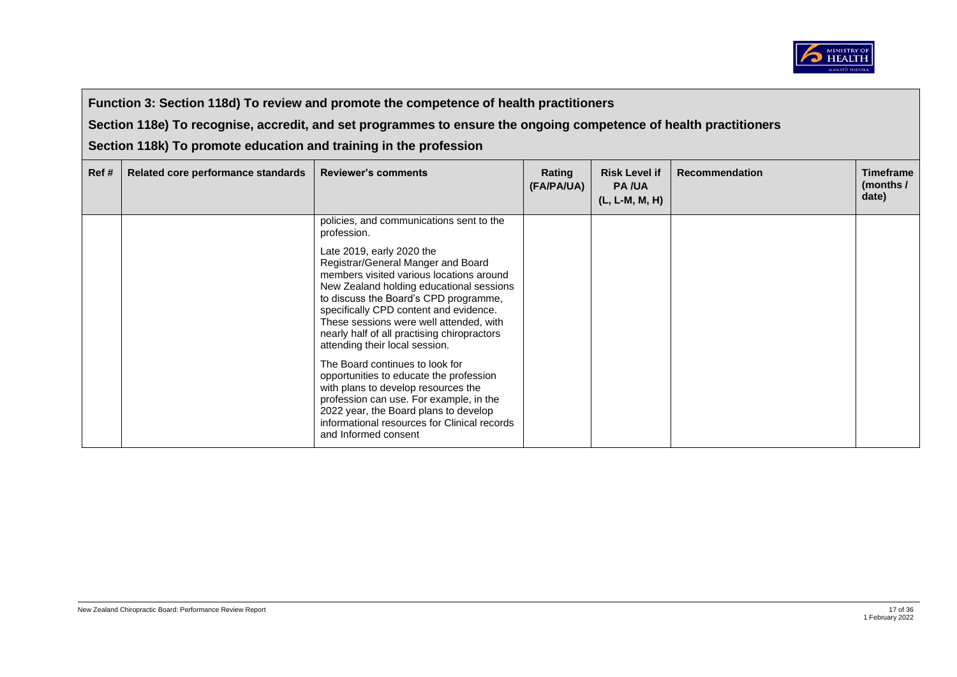

# **Function 3: Section 118d) To review and promote the competence of health practitioners**

**Section 118e) To recognise, accredit, and set programmes to ensure the ongoing competence of health practitioners** 

**Section 118k) To promote education and training in the profession**

| Ref# | Related core performance standards | <b>Reviewer's comments</b>                                                                                                                                                                                                                                                                                                                                                                                                                                                                                                                                                                                                                              | Rating<br>(FA/PA/UA) | <b>Risk Level if</b><br><b>PA/UA</b><br>$(L, L-M, M, H)$ | <b>Recommendation</b> | <b>Timeframe</b><br>(months /<br>date) |
|------|------------------------------------|---------------------------------------------------------------------------------------------------------------------------------------------------------------------------------------------------------------------------------------------------------------------------------------------------------------------------------------------------------------------------------------------------------------------------------------------------------------------------------------------------------------------------------------------------------------------------------------------------------------------------------------------------------|----------------------|----------------------------------------------------------|-----------------------|----------------------------------------|
|      |                                    | policies, and communications sent to the<br>profession.                                                                                                                                                                                                                                                                                                                                                                                                                                                                                                                                                                                                 |                      |                                                          |                       |                                        |
|      |                                    | Late 2019, early 2020 the<br>Registrar/General Manger and Board<br>members visited various locations around<br>New Zealand holding educational sessions<br>to discuss the Board's CPD programme,<br>specifically CPD content and evidence.<br>These sessions were well attended, with<br>nearly half of all practising chiropractors<br>attending their local session.<br>The Board continues to look for<br>opportunities to educate the profession<br>with plans to develop resources the<br>profession can use. For example, in the<br>2022 year, the Board plans to develop<br>informational resources for Clinical records<br>and Informed consent |                      |                                                          |                       |                                        |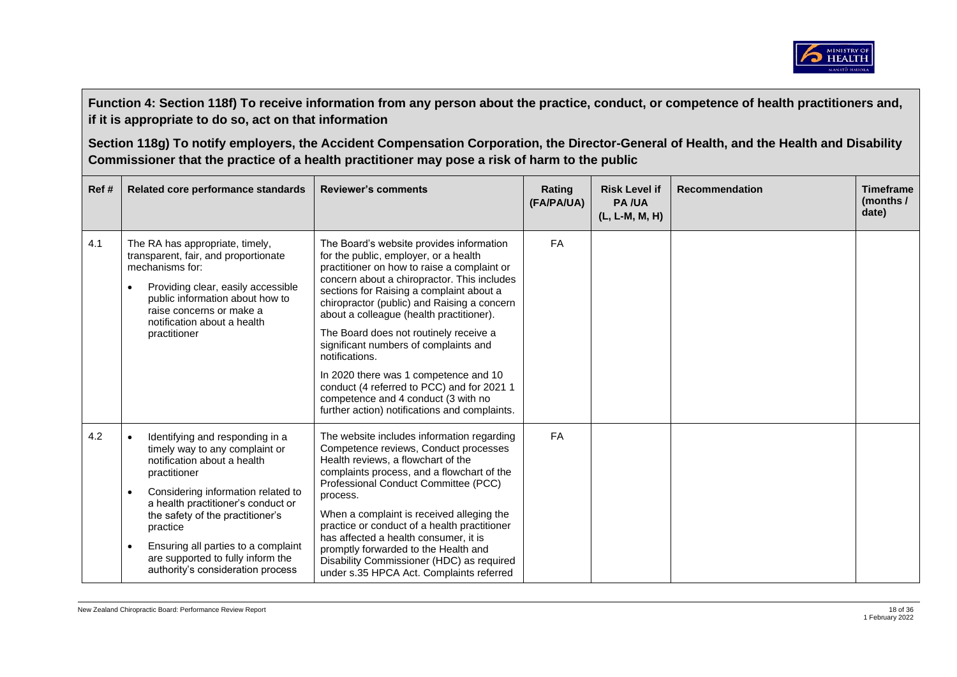

| Ref# | Related core performance standards                                                                                                                                                                                                                                                                                                                                                                   | <b>Reviewer's comments</b>                                                                                                                                                                                                                                                                                                                                                                                                                                                                                                                                                                                 | Rating<br>(FA/PA/UA) | <b>Risk Level if</b><br><b>PA/UA</b><br>(L, L-M, M, H) | <b>Recommendation</b> | <b>Timeframe</b><br>(months /<br>date) |
|------|------------------------------------------------------------------------------------------------------------------------------------------------------------------------------------------------------------------------------------------------------------------------------------------------------------------------------------------------------------------------------------------------------|------------------------------------------------------------------------------------------------------------------------------------------------------------------------------------------------------------------------------------------------------------------------------------------------------------------------------------------------------------------------------------------------------------------------------------------------------------------------------------------------------------------------------------------------------------------------------------------------------------|----------------------|--------------------------------------------------------|-----------------------|----------------------------------------|
| 4.1  | The RA has appropriate, timely,<br>transparent, fair, and proportionate<br>mechanisms for:<br>Providing clear, easily accessible<br>$\bullet$<br>public information about how to<br>raise concerns or make a<br>notification about a health<br>practitioner                                                                                                                                          | The Board's website provides information<br>for the public, employer, or a health<br>practitioner on how to raise a complaint or<br>concern about a chiropractor. This includes<br>sections for Raising a complaint about a<br>chiropractor (public) and Raising a concern<br>about a colleague (health practitioner).<br>The Board does not routinely receive a<br>significant numbers of complaints and<br>notifications.<br>In 2020 there was 1 competence and 10<br>conduct (4 referred to PCC) and for 2021 1<br>competence and 4 conduct (3 with no<br>further action) notifications and complaints. | <b>FA</b>            |                                                        |                       |                                        |
| 4.2  | Identifying and responding in a<br>$\bullet$<br>timely way to any complaint or<br>notification about a health<br>practitioner<br>Considering information related to<br>$\bullet$<br>a health practitioner's conduct or<br>the safety of the practitioner's<br>practice<br>Ensuring all parties to a complaint<br>$\bullet$<br>are supported to fully inform the<br>authority's consideration process | The website includes information regarding<br>Competence reviews, Conduct processes<br>Health reviews, a flowchart of the<br>complaints process, and a flowchart of the<br>Professional Conduct Committee (PCC)<br>process.<br>When a complaint is received alleging the<br>practice or conduct of a health practitioner<br>has affected a health consumer, it is<br>promptly forwarded to the Health and<br>Disability Commissioner (HDC) as required<br>under s.35 HPCA Act. Complaints referred                                                                                                         | FA                   |                                                        |                       |                                        |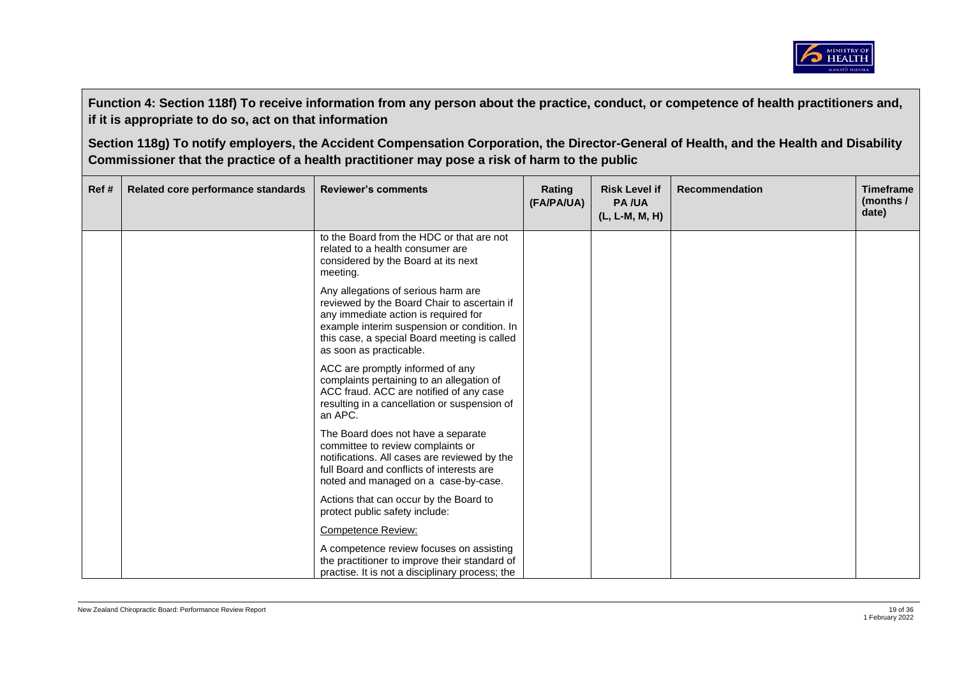

| Ref# | Related core performance standards | <b>Reviewer's comments</b>                                                                                                                                                                                                                           | Rating<br>(FA/PA/UA) | <b>Risk Level if</b><br><b>PA/UA</b><br>(L, L-M, M, H) | <b>Recommendation</b> | <b>Timeframe</b><br>(months /<br>date) |
|------|------------------------------------|------------------------------------------------------------------------------------------------------------------------------------------------------------------------------------------------------------------------------------------------------|----------------------|--------------------------------------------------------|-----------------------|----------------------------------------|
|      |                                    | to the Board from the HDC or that are not<br>related to a health consumer are<br>considered by the Board at its next<br>meeting.                                                                                                                     |                      |                                                        |                       |                                        |
|      |                                    | Any allegations of serious harm are<br>reviewed by the Board Chair to ascertain if<br>any immediate action is required for<br>example interim suspension or condition. In<br>this case, a special Board meeting is called<br>as soon as practicable. |                      |                                                        |                       |                                        |
|      |                                    | ACC are promptly informed of any<br>complaints pertaining to an allegation of<br>ACC fraud. ACC are notified of any case<br>resulting in a cancellation or suspension of<br>an APC.                                                                  |                      |                                                        |                       |                                        |
|      |                                    | The Board does not have a separate<br>committee to review complaints or<br>notifications. All cases are reviewed by the<br>full Board and conflicts of interests are<br>noted and managed on a case-by-case.                                         |                      |                                                        |                       |                                        |
|      |                                    | Actions that can occur by the Board to<br>protect public safety include:                                                                                                                                                                             |                      |                                                        |                       |                                        |
|      |                                    | <b>Competence Review:</b>                                                                                                                                                                                                                            |                      |                                                        |                       |                                        |
|      |                                    | A competence review focuses on assisting<br>the practitioner to improve their standard of<br>practise. It is not a disciplinary process; the                                                                                                         |                      |                                                        |                       |                                        |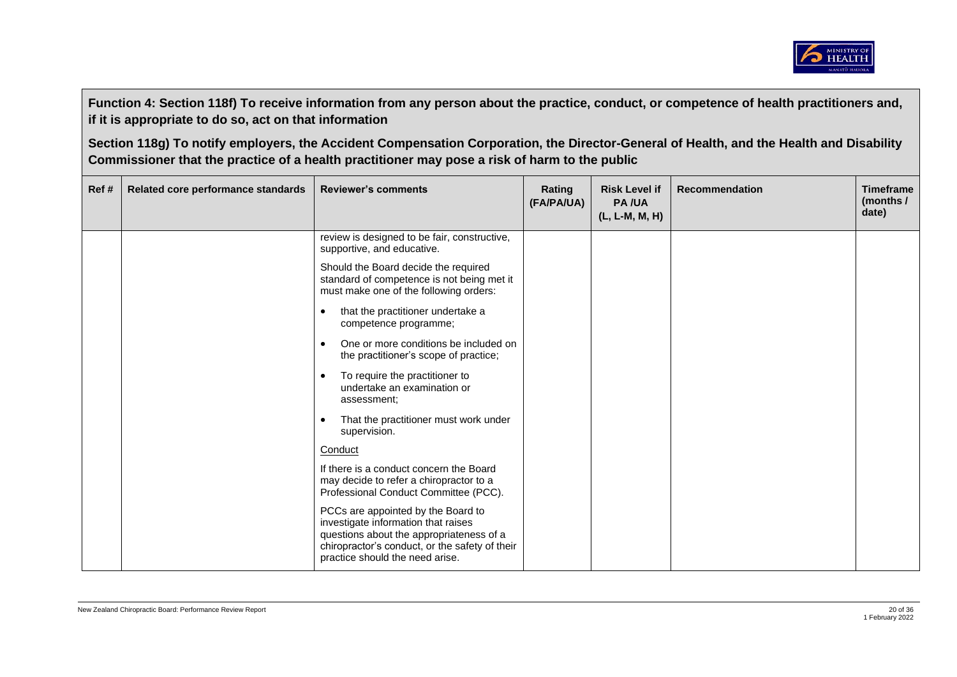

| Ref# | Related core performance standards | <b>Reviewer's comments</b>                                                                                                                                                                                 | Rating<br>(FA/PA/UA) | <b>Risk Level if</b><br><b>PA/UA</b><br>(L, L-M, M, H) | <b>Recommendation</b> | <b>Timeframe</b><br>(months $/$<br>date) |
|------|------------------------------------|------------------------------------------------------------------------------------------------------------------------------------------------------------------------------------------------------------|----------------------|--------------------------------------------------------|-----------------------|------------------------------------------|
|      |                                    | review is designed to be fair, constructive,<br>supportive, and educative.                                                                                                                                 |                      |                                                        |                       |                                          |
|      |                                    | Should the Board decide the required<br>standard of competence is not being met it<br>must make one of the following orders:                                                                               |                      |                                                        |                       |                                          |
|      |                                    | that the practitioner undertake a<br>$\bullet$<br>competence programme;                                                                                                                                    |                      |                                                        |                       |                                          |
|      |                                    | One or more conditions be included on<br>$\bullet$<br>the practitioner's scope of practice;                                                                                                                |                      |                                                        |                       |                                          |
|      |                                    | To require the practitioner to<br>$\bullet$<br>undertake an examination or<br>assessment;                                                                                                                  |                      |                                                        |                       |                                          |
|      |                                    | That the practitioner must work under<br>$\bullet$<br>supervision.                                                                                                                                         |                      |                                                        |                       |                                          |
|      |                                    | Conduct                                                                                                                                                                                                    |                      |                                                        |                       |                                          |
|      |                                    | If there is a conduct concern the Board<br>may decide to refer a chiropractor to a<br>Professional Conduct Committee (PCC).                                                                                |                      |                                                        |                       |                                          |
|      |                                    | PCCs are appointed by the Board to<br>investigate information that raises<br>questions about the appropriateness of a<br>chiropractor's conduct, or the safety of their<br>practice should the need arise. |                      |                                                        |                       |                                          |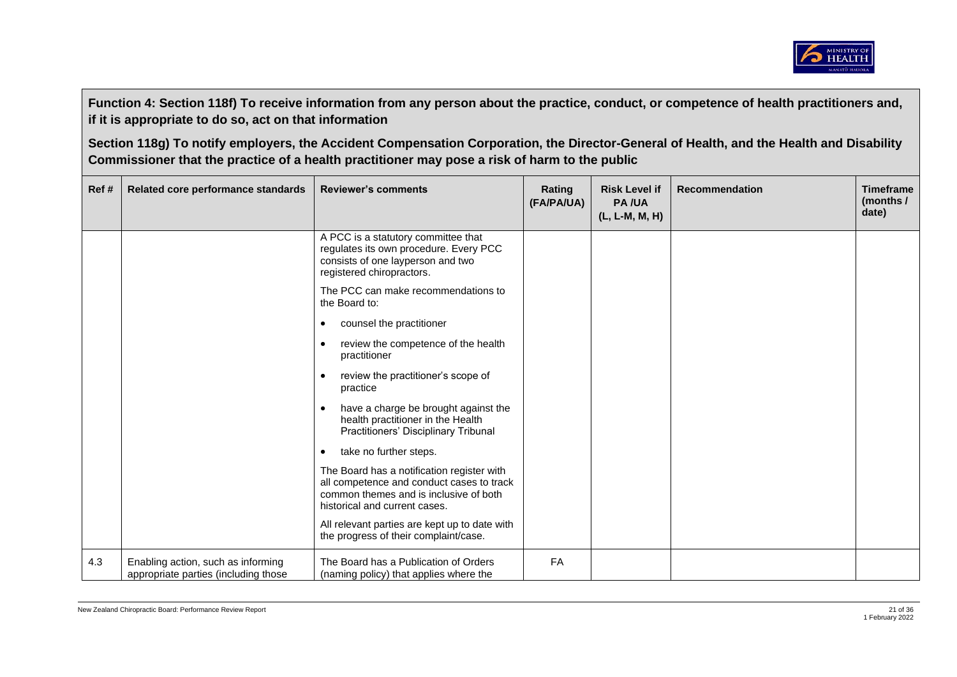

| Ref# | Related core performance standards                                         | <b>Reviewer's comments</b>                                                                                                                                         | Rating<br>(FA/PA/UA) | <b>Risk Level if</b><br><b>PA/UA</b><br>(L, L-M, M, H) | <b>Recommendation</b> | <b>Timeframe</b><br>(months $/$<br>date) |
|------|----------------------------------------------------------------------------|--------------------------------------------------------------------------------------------------------------------------------------------------------------------|----------------------|--------------------------------------------------------|-----------------------|------------------------------------------|
|      |                                                                            | A PCC is a statutory committee that<br>regulates its own procedure. Every PCC<br>consists of one layperson and two<br>registered chiropractors.                    |                      |                                                        |                       |                                          |
|      |                                                                            | The PCC can make recommendations to<br>the Board to:                                                                                                               |                      |                                                        |                       |                                          |
|      |                                                                            | counsel the practitioner<br>$\bullet$                                                                                                                              |                      |                                                        |                       |                                          |
|      |                                                                            | review the competence of the health<br>$\bullet$<br>practitioner                                                                                                   |                      |                                                        |                       |                                          |
|      |                                                                            | review the practitioner's scope of<br>$\bullet$<br>practice                                                                                                        |                      |                                                        |                       |                                          |
|      |                                                                            | have a charge be brought against the<br>$\bullet$<br>health practitioner in the Health<br>Practitioners' Disciplinary Tribunal                                     |                      |                                                        |                       |                                          |
|      |                                                                            | take no further steps.<br>$\bullet$                                                                                                                                |                      |                                                        |                       |                                          |
|      |                                                                            | The Board has a notification register with<br>all competence and conduct cases to track<br>common themes and is inclusive of both<br>historical and current cases. |                      |                                                        |                       |                                          |
|      |                                                                            | All relevant parties are kept up to date with<br>the progress of their complaint/case.                                                                             |                      |                                                        |                       |                                          |
| 4.3  | Enabling action, such as informing<br>appropriate parties (including those | The Board has a Publication of Orders<br>(naming policy) that applies where the                                                                                    | <b>FA</b>            |                                                        |                       |                                          |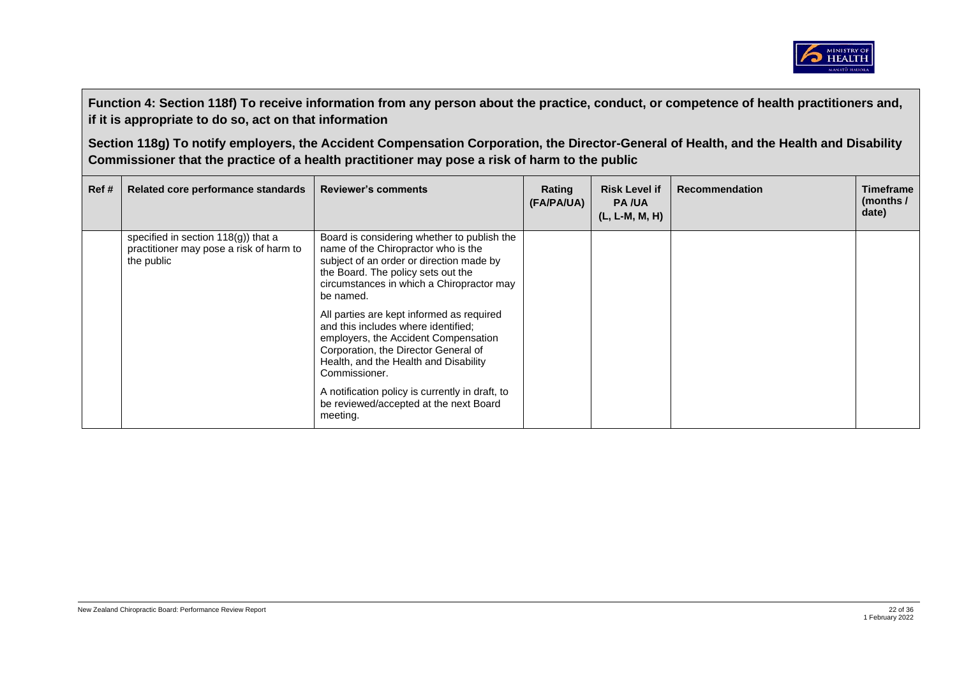

| Ref# | Related core performance standards                                                              | <b>Reviewer's comments</b>                                                                                                                                                                                                     | Rating<br>(FA/PA/UA) | <b>Risk Level if</b><br><b>PA/UA</b><br>$(L, L-M, M, H)$ | <b>Recommendation</b> | <b>Timeframe</b><br>(months /<br>date) |
|------|-------------------------------------------------------------------------------------------------|--------------------------------------------------------------------------------------------------------------------------------------------------------------------------------------------------------------------------------|----------------------|----------------------------------------------------------|-----------------------|----------------------------------------|
|      | specified in section $118(q)$ ) that a<br>practitioner may pose a risk of harm to<br>the public | Board is considering whether to publish the<br>name of the Chiropractor who is the<br>subject of an order or direction made by<br>the Board. The policy sets out the<br>circumstances in which a Chiropractor may<br>be named. |                      |                                                          |                       |                                        |
|      |                                                                                                 | All parties are kept informed as required<br>and this includes where identified;<br>employers, the Accident Compensation<br>Corporation, the Director General of<br>Health, and the Health and Disability<br>Commissioner.     |                      |                                                          |                       |                                        |
|      |                                                                                                 | A notification policy is currently in draft, to<br>be reviewed/accepted at the next Board<br>meeting.                                                                                                                          |                      |                                                          |                       |                                        |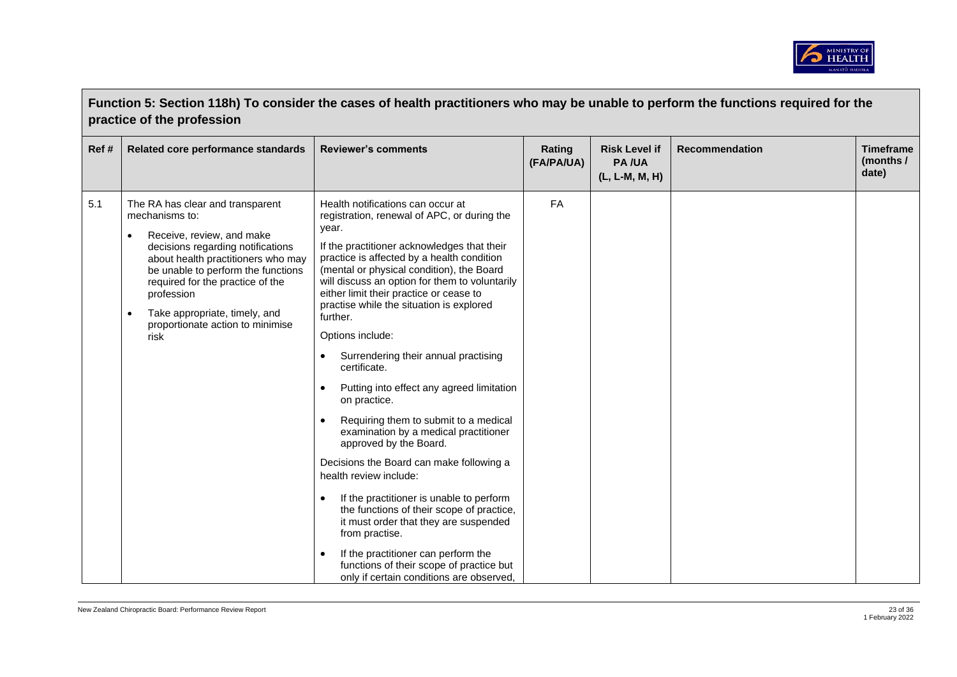

|      | Function 5: Section 118h) To consider the cases of health practitioners who may be unable to perform the functions required for the<br>practice of the profession                                                                                                                                                               |                                                                                                                                                                                                                                                                                                                                                                                                                                                                                                                                                                                                                                                                                                                                                                                                                                                                                                                                                                                                                                                            |                      |                                                        |                       |                                        |  |  |
|------|---------------------------------------------------------------------------------------------------------------------------------------------------------------------------------------------------------------------------------------------------------------------------------------------------------------------------------|------------------------------------------------------------------------------------------------------------------------------------------------------------------------------------------------------------------------------------------------------------------------------------------------------------------------------------------------------------------------------------------------------------------------------------------------------------------------------------------------------------------------------------------------------------------------------------------------------------------------------------------------------------------------------------------------------------------------------------------------------------------------------------------------------------------------------------------------------------------------------------------------------------------------------------------------------------------------------------------------------------------------------------------------------------|----------------------|--------------------------------------------------------|-----------------------|----------------------------------------|--|--|
| Ref# | Related core performance standards                                                                                                                                                                                                                                                                                              | <b>Reviewer's comments</b>                                                                                                                                                                                                                                                                                                                                                                                                                                                                                                                                                                                                                                                                                                                                                                                                                                                                                                                                                                                                                                 | Rating<br>(FA/PA/UA) | <b>Risk Level if</b><br><b>PA/UA</b><br>(L, L-M, M, H) | <b>Recommendation</b> | <b>Timeframe</b><br>(months /<br>date) |  |  |
| 5.1  | The RA has clear and transparent<br>mechanisms to:<br>Receive, review, and make<br>decisions regarding notifications<br>about health practitioners who may<br>be unable to perform the functions<br>required for the practice of the<br>profession<br>Take appropriate, timely, and<br>proportionate action to minimise<br>risk | Health notifications can occur at<br>registration, renewal of APC, or during the<br>year.<br>If the practitioner acknowledges that their<br>practice is affected by a health condition<br>(mental or physical condition), the Board<br>will discuss an option for them to voluntarily<br>either limit their practice or cease to<br>practise while the situation is explored<br>further.<br>Options include:<br>Surrendering their annual practising<br>$\bullet$<br>certificate.<br>Putting into effect any agreed limitation<br>$\bullet$<br>on practice.<br>Requiring them to submit to a medical<br>$\bullet$<br>examination by a medical practitioner<br>approved by the Board.<br>Decisions the Board can make following a<br>health review include:<br>If the practitioner is unable to perform<br>the functions of their scope of practice,<br>it must order that they are suspended<br>from practise.<br>If the practitioner can perform the<br>$\bullet$<br>functions of their scope of practice but<br>only if certain conditions are observed, | FA                   |                                                        |                       |                                        |  |  |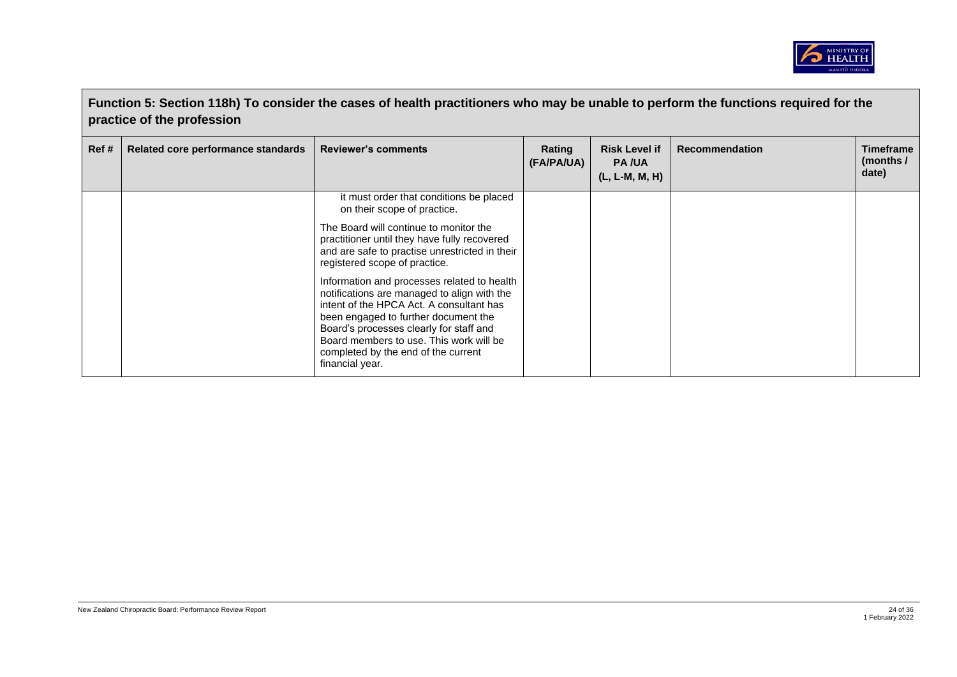

|       | Function 5: Section 118h) To consider the cases of health practitioners who may be unable to perform the functions required for the<br>practice of the profession |                                                                                                                                                                                                                                                                                                                                |                      |                                                          |                       |                                               |  |  |
|-------|-------------------------------------------------------------------------------------------------------------------------------------------------------------------|--------------------------------------------------------------------------------------------------------------------------------------------------------------------------------------------------------------------------------------------------------------------------------------------------------------------------------|----------------------|----------------------------------------------------------|-----------------------|-----------------------------------------------|--|--|
| Ref # | Related core performance standards                                                                                                                                | <b>Reviewer's comments</b>                                                                                                                                                                                                                                                                                                     | Rating<br>(FA/PA/UA) | <b>Risk Level if</b><br><b>PA/UA</b><br>$(L, L-M, M, H)$ | <b>Recommendation</b> | <b>Timeframe</b><br>(months $\prime$<br>date) |  |  |
|       |                                                                                                                                                                   | it must order that conditions be placed<br>on their scope of practice.                                                                                                                                                                                                                                                         |                      |                                                          |                       |                                               |  |  |
|       |                                                                                                                                                                   | The Board will continue to monitor the<br>practitioner until they have fully recovered<br>and are safe to practise unrestricted in their<br>registered scope of practice.                                                                                                                                                      |                      |                                                          |                       |                                               |  |  |
|       |                                                                                                                                                                   | Information and processes related to health<br>notifications are managed to align with the<br>intent of the HPCA Act. A consultant has<br>been engaged to further document the<br>Board's processes clearly for staff and<br>Board members to use. This work will be<br>completed by the end of the current<br>financial year. |                      |                                                          |                       |                                               |  |  |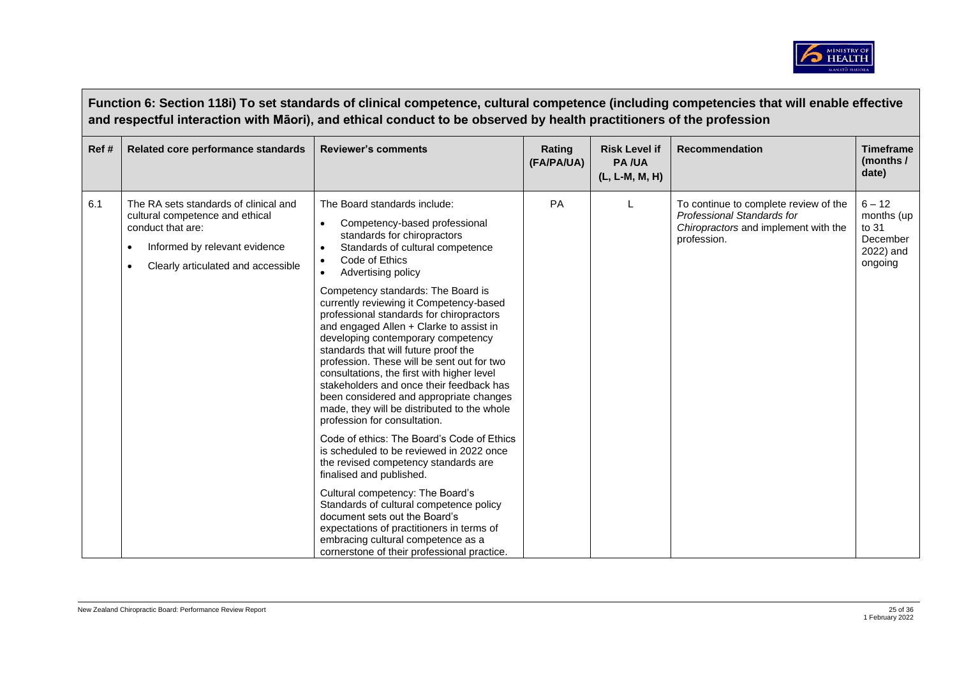

|      | Function 6: Section 118i) To set standards of clinical competence, cultural competence (including competencies that will enable effective<br>and respectful interaction with Māori), and ethical conduct to be observed by health practitioners of the profession |                                                                                                                                                                                                                                                                                                                                                                                                                                                                                                                                                                                                                                                                                                                                                                                                                                                                                                                                                                                                                                                                                                                                                                      |                      |                                                        |                                                                                                                            |                                                                     |  |  |  |
|------|-------------------------------------------------------------------------------------------------------------------------------------------------------------------------------------------------------------------------------------------------------------------|----------------------------------------------------------------------------------------------------------------------------------------------------------------------------------------------------------------------------------------------------------------------------------------------------------------------------------------------------------------------------------------------------------------------------------------------------------------------------------------------------------------------------------------------------------------------------------------------------------------------------------------------------------------------------------------------------------------------------------------------------------------------------------------------------------------------------------------------------------------------------------------------------------------------------------------------------------------------------------------------------------------------------------------------------------------------------------------------------------------------------------------------------------------------|----------------------|--------------------------------------------------------|----------------------------------------------------------------------------------------------------------------------------|---------------------------------------------------------------------|--|--|--|
| Ref# | Related core performance standards                                                                                                                                                                                                                                | <b>Reviewer's comments</b>                                                                                                                                                                                                                                                                                                                                                                                                                                                                                                                                                                                                                                                                                                                                                                                                                                                                                                                                                                                                                                                                                                                                           | Rating<br>(FA/PA/UA) | <b>Risk Level if</b><br><b>PA/UA</b><br>(L, L-M, M, H) | <b>Recommendation</b>                                                                                                      | <b>Timeframe</b><br>(months /<br>date)                              |  |  |  |
| 6.1  | The RA sets standards of clinical and<br>cultural competence and ethical<br>conduct that are:<br>Informed by relevant evidence<br>Clearly articulated and accessible                                                                                              | The Board standards include:<br>Competency-based professional<br>$\bullet$<br>standards for chiropractors<br>Standards of cultural competence<br>$\bullet$<br>Code of Ethics<br>$\bullet$<br>Advertising policy<br>$\bullet$<br>Competency standards: The Board is<br>currently reviewing it Competency-based<br>professional standards for chiropractors<br>and engaged Allen + Clarke to assist in<br>developing contemporary competency<br>standards that will future proof the<br>profession. These will be sent out for two<br>consultations, the first with higher level<br>stakeholders and once their feedback has<br>been considered and appropriate changes<br>made, they will be distributed to the whole<br>profession for consultation.<br>Code of ethics: The Board's Code of Ethics<br>is scheduled to be reviewed in 2022 once<br>the revised competency standards are<br>finalised and published.<br>Cultural competency: The Board's<br>Standards of cultural competence policy<br>document sets out the Board's<br>expectations of practitioners in terms of<br>embracing cultural competence as a<br>cornerstone of their professional practice. | PA                   |                                                        | To continue to complete review of the<br>Professional Standards for<br>Chiropractors and implement with the<br>profession. | $6 - 12$<br>months (up<br>to 31<br>December<br>2022) and<br>ongoing |  |  |  |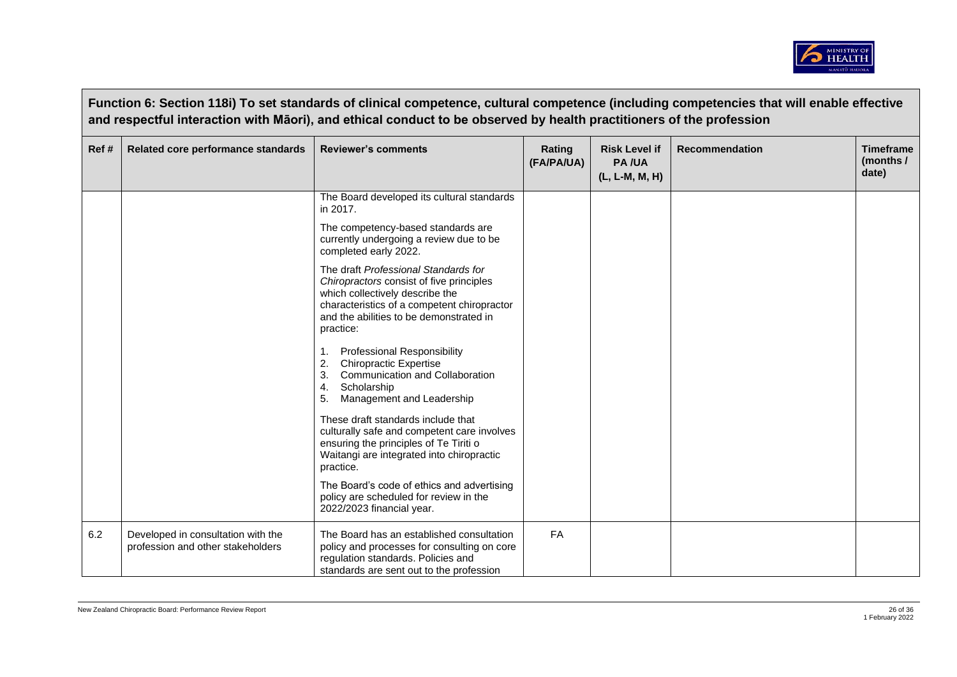

|       | Function 6: Section 118i) To set standards of clinical competence, cultural competence (including competencies that will enable effective<br>and respectful interaction with Māori), and ethical conduct to be observed by health practitioners of the profession |                                                                                                                                                                                                                            |                      |                                                        |                       |                                        |  |  |  |
|-------|-------------------------------------------------------------------------------------------------------------------------------------------------------------------------------------------------------------------------------------------------------------------|----------------------------------------------------------------------------------------------------------------------------------------------------------------------------------------------------------------------------|----------------------|--------------------------------------------------------|-----------------------|----------------------------------------|--|--|--|
| Ref # | Related core performance standards                                                                                                                                                                                                                                | <b>Reviewer's comments</b>                                                                                                                                                                                                 | Rating<br>(FA/PA/UA) | <b>Risk Level if</b><br><b>PA/UA</b><br>(L, L-M, M, H) | <b>Recommendation</b> | <b>Timeframe</b><br>(months /<br>date) |  |  |  |
|       |                                                                                                                                                                                                                                                                   | The Board developed its cultural standards<br>in 2017.                                                                                                                                                                     |                      |                                                        |                       |                                        |  |  |  |
|       |                                                                                                                                                                                                                                                                   | The competency-based standards are<br>currently undergoing a review due to be<br>completed early 2022.                                                                                                                     |                      |                                                        |                       |                                        |  |  |  |
|       |                                                                                                                                                                                                                                                                   | The draft Professional Standards for<br>Chiropractors consist of five principles<br>which collectively describe the<br>characteristics of a competent chiropractor<br>and the abilities to be demonstrated in<br>practice: |                      |                                                        |                       |                                        |  |  |  |
|       |                                                                                                                                                                                                                                                                   | <b>Professional Responsibility</b><br>1.<br><b>Chiropractic Expertise</b><br>2.<br>Communication and Collaboration<br>3.<br>Scholarship<br>4.<br>Management and Leadership                                                 |                      |                                                        |                       |                                        |  |  |  |
|       |                                                                                                                                                                                                                                                                   | These draft standards include that<br>culturally safe and competent care involves<br>ensuring the principles of Te Tiriti o<br>Waitangi are integrated into chiropractic<br>practice.                                      |                      |                                                        |                       |                                        |  |  |  |
|       |                                                                                                                                                                                                                                                                   | The Board's code of ethics and advertising<br>policy are scheduled for review in the<br>2022/2023 financial year.                                                                                                          |                      |                                                        |                       |                                        |  |  |  |
| 6.2   | Developed in consultation with the<br>profession and other stakeholders                                                                                                                                                                                           | The Board has an established consultation<br>policy and processes for consulting on core<br>regulation standards. Policies and<br>standards are sent out to the profession                                                 | <b>FA</b>            |                                                        |                       |                                        |  |  |  |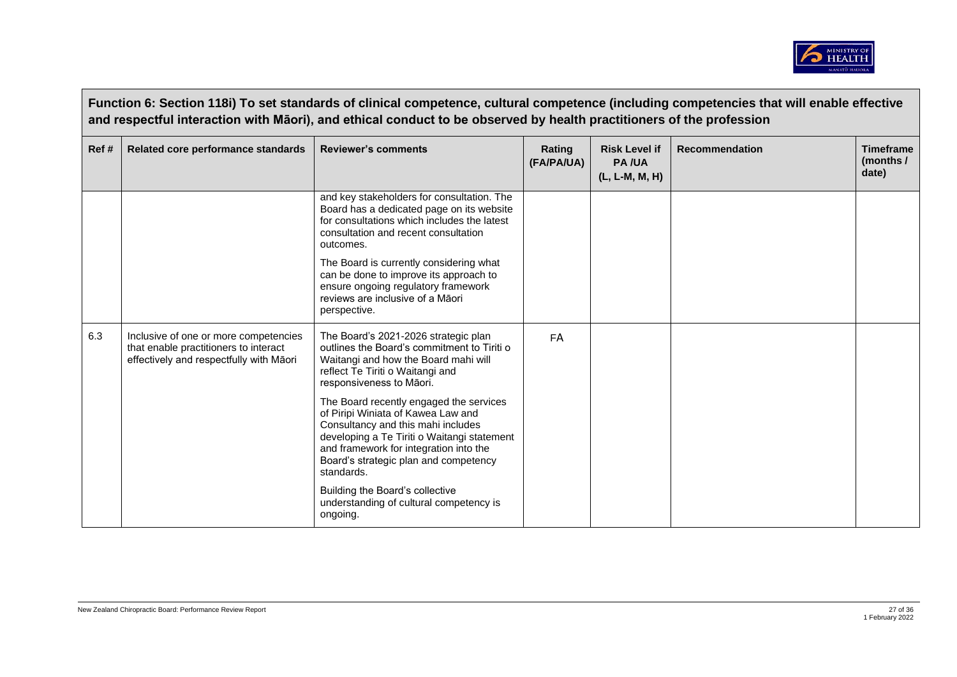

|      | Function 6: Section 118i) To set standards of clinical competence, cultural competence (including competencies that will enable effective<br>and respectful interaction with Māori), and ethical conduct to be observed by health practitioners of the profession |                                                                                                                                                                                                                                                                     |                      |                                                        |                       |                                                 |  |  |  |
|------|-------------------------------------------------------------------------------------------------------------------------------------------------------------------------------------------------------------------------------------------------------------------|---------------------------------------------------------------------------------------------------------------------------------------------------------------------------------------------------------------------------------------------------------------------|----------------------|--------------------------------------------------------|-----------------------|-------------------------------------------------|--|--|--|
| Ref# | Related core performance standards                                                                                                                                                                                                                                | <b>Reviewer's comments</b>                                                                                                                                                                                                                                          | Rating<br>(FA/PA/UA) | <b>Risk Level if</b><br><b>PA/UA</b><br>(L, L-M, M, H) | <b>Recommendation</b> | <b>Timeframe</b><br>(months $\sqrt{ }$<br>date) |  |  |  |
|      |                                                                                                                                                                                                                                                                   | and key stakeholders for consultation. The<br>Board has a dedicated page on its website<br>for consultations which includes the latest<br>consultation and recent consultation<br>outcomes.                                                                         |                      |                                                        |                       |                                                 |  |  |  |
|      |                                                                                                                                                                                                                                                                   | The Board is currently considering what<br>can be done to improve its approach to<br>ensure ongoing regulatory framework<br>reviews are inclusive of a Māori<br>perspective.                                                                                        |                      |                                                        |                       |                                                 |  |  |  |
| 6.3  | Inclusive of one or more competencies<br>that enable practitioners to interact<br>effectively and respectfully with Māori                                                                                                                                         | The Board's 2021-2026 strategic plan<br>outlines the Board's commitment to Tiriti o<br>Waitangi and how the Board mahi will<br>reflect Te Tiriti o Waitangi and<br>responsiveness to Māori.                                                                         | <b>FA</b>            |                                                        |                       |                                                 |  |  |  |
|      |                                                                                                                                                                                                                                                                   | The Board recently engaged the services<br>of Piripi Winiata of Kawea Law and<br>Consultancy and this mahi includes<br>developing a Te Tiriti o Waitangi statement<br>and framework for integration into the<br>Board's strategic plan and competency<br>standards. |                      |                                                        |                       |                                                 |  |  |  |
|      |                                                                                                                                                                                                                                                                   | Building the Board's collective<br>understanding of cultural competency is<br>ongoing.                                                                                                                                                                              |                      |                                                        |                       |                                                 |  |  |  |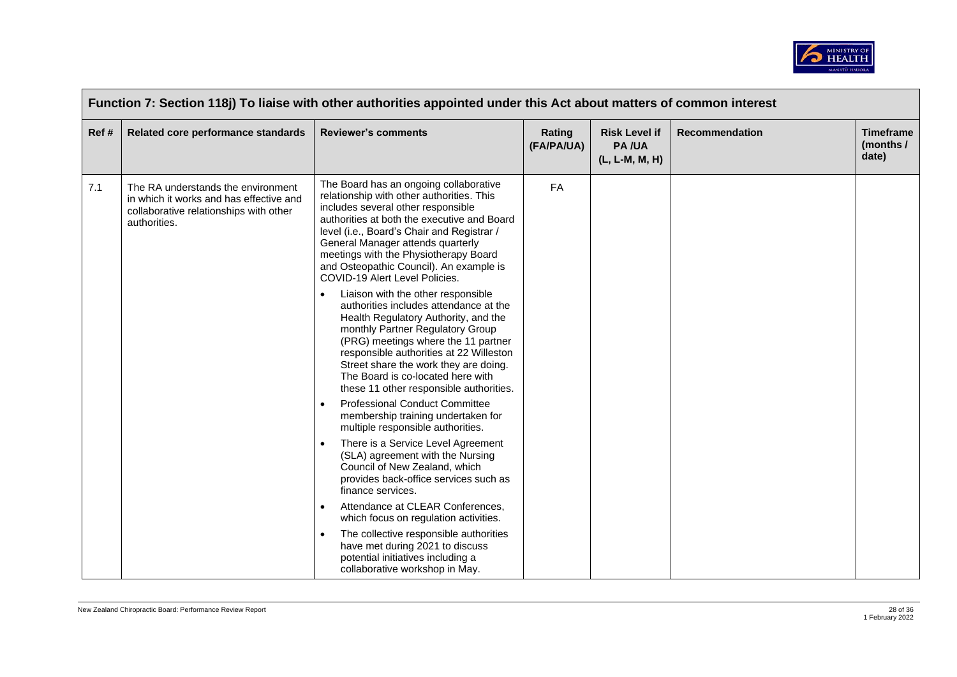

| Function 7: Section 118j) To liaise with other authorities appointed under this Act about matters of common interest |                                                                                                                                         |                                                                                                                                                                                                                                                                                                                                                                                                                                                                                                                                                                                                                                                                                                                                                                                                                                                                                                                                                                                                                                                                                                                                                                                                                                                                                                                                                         |                      |                                                        |                       |                                          |  |
|----------------------------------------------------------------------------------------------------------------------|-----------------------------------------------------------------------------------------------------------------------------------------|---------------------------------------------------------------------------------------------------------------------------------------------------------------------------------------------------------------------------------------------------------------------------------------------------------------------------------------------------------------------------------------------------------------------------------------------------------------------------------------------------------------------------------------------------------------------------------------------------------------------------------------------------------------------------------------------------------------------------------------------------------------------------------------------------------------------------------------------------------------------------------------------------------------------------------------------------------------------------------------------------------------------------------------------------------------------------------------------------------------------------------------------------------------------------------------------------------------------------------------------------------------------------------------------------------------------------------------------------------|----------------------|--------------------------------------------------------|-----------------------|------------------------------------------|--|
| Ref #                                                                                                                | Related core performance standards                                                                                                      | <b>Reviewer's comments</b>                                                                                                                                                                                                                                                                                                                                                                                                                                                                                                                                                                                                                                                                                                                                                                                                                                                                                                                                                                                                                                                                                                                                                                                                                                                                                                                              | Rating<br>(FA/PA/UA) | <b>Risk Level if</b><br><b>PA/UA</b><br>(L, L-M, M, H) | <b>Recommendation</b> | <b>Timeframe</b><br>(months $/$<br>date) |  |
| 7.1                                                                                                                  | The RA understands the environment<br>in which it works and has effective and<br>collaborative relationships with other<br>authorities. | The Board has an ongoing collaborative<br>relationship with other authorities. This<br>includes several other responsible<br>authorities at both the executive and Board<br>level (i.e., Board's Chair and Registrar /<br>General Manager attends quarterly<br>meetings with the Physiotherapy Board<br>and Osteopathic Council). An example is<br>COVID-19 Alert Level Policies.<br>Liaison with the other responsible<br>$\bullet$<br>authorities includes attendance at the<br>Health Regulatory Authority, and the<br>monthly Partner Regulatory Group<br>(PRG) meetings where the 11 partner<br>responsible authorities at 22 Willeston<br>Street share the work they are doing.<br>The Board is co-located here with<br>these 11 other responsible authorities.<br><b>Professional Conduct Committee</b><br>$\bullet$<br>membership training undertaken for<br>multiple responsible authorities.<br>There is a Service Level Agreement<br>$\bullet$<br>(SLA) agreement with the Nursing<br>Council of New Zealand, which<br>provides back-office services such as<br>finance services.<br>Attendance at CLEAR Conferences,<br>$\bullet$<br>which focus on regulation activities.<br>The collective responsible authorities<br>$\bullet$<br>have met during 2021 to discuss<br>potential initiatives including a<br>collaborative workshop in May. | FA                   |                                                        |                       |                                          |  |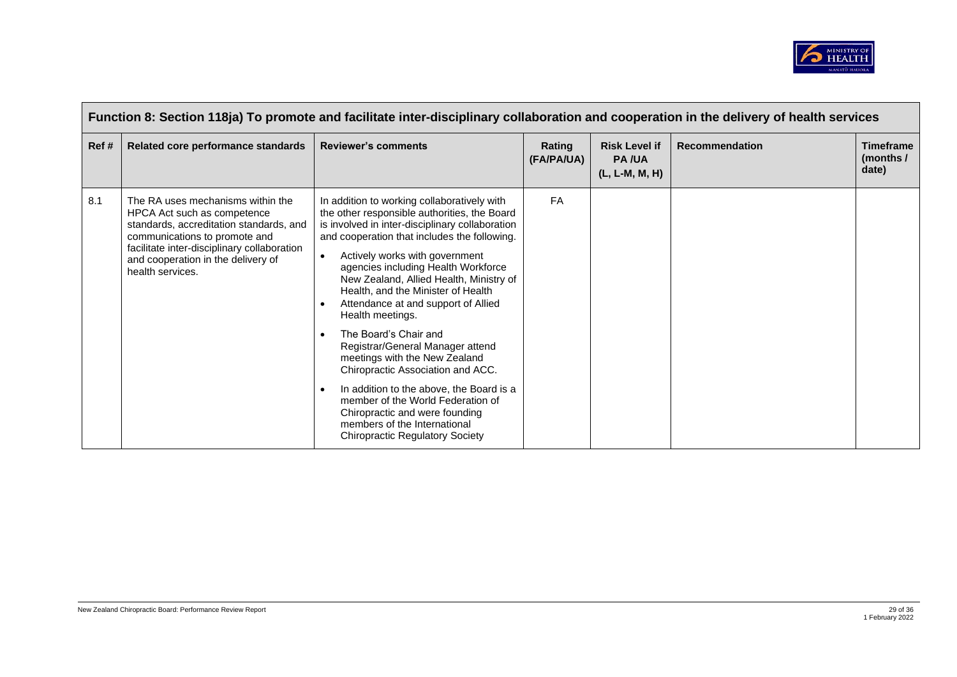

| Function 8: Section 118ja) To promote and facilitate inter-disciplinary collaboration and cooperation in the delivery of health services |                                                                                                                                                                                                                                                       |                                                                                                                                                                                                                                                                                                                                                                                                                                                                                                                                                                                                                                                                                                                                                                                            |                      |                                                          |                       |                                               |  |  |
|------------------------------------------------------------------------------------------------------------------------------------------|-------------------------------------------------------------------------------------------------------------------------------------------------------------------------------------------------------------------------------------------------------|--------------------------------------------------------------------------------------------------------------------------------------------------------------------------------------------------------------------------------------------------------------------------------------------------------------------------------------------------------------------------------------------------------------------------------------------------------------------------------------------------------------------------------------------------------------------------------------------------------------------------------------------------------------------------------------------------------------------------------------------------------------------------------------------|----------------------|----------------------------------------------------------|-----------------------|-----------------------------------------------|--|--|
| Ref#                                                                                                                                     | Related core performance standards                                                                                                                                                                                                                    | <b>Reviewer's comments</b>                                                                                                                                                                                                                                                                                                                                                                                                                                                                                                                                                                                                                                                                                                                                                                 | Rating<br>(FA/PA/UA) | <b>Risk Level if</b><br><b>PA/UA</b><br>$(L, L-M, M, H)$ | <b>Recommendation</b> | <b>Timeframe</b><br>(months $\prime$<br>date) |  |  |
| 8.1                                                                                                                                      | The RA uses mechanisms within the<br>HPCA Act such as competence<br>standards, accreditation standards, and<br>communications to promote and<br>facilitate inter-disciplinary collaboration<br>and cooperation in the delivery of<br>health services. | In addition to working collaboratively with<br>the other responsible authorities, the Board<br>is involved in inter-disciplinary collaboration<br>and cooperation that includes the following.<br>Actively works with government<br>$\bullet$<br>agencies including Health Workforce<br>New Zealand, Allied Health, Ministry of<br>Health, and the Minister of Health<br>Attendance at and support of Allied<br>Health meetings.<br>The Board's Chair and<br>$\bullet$<br>Registrar/General Manager attend<br>meetings with the New Zealand<br>Chiropractic Association and ACC.<br>In addition to the above, the Board is a<br>$\bullet$<br>member of the World Federation of<br>Chiropractic and were founding<br>members of the International<br><b>Chiropractic Regulatory Society</b> | <b>FA</b>            |                                                          |                       |                                               |  |  |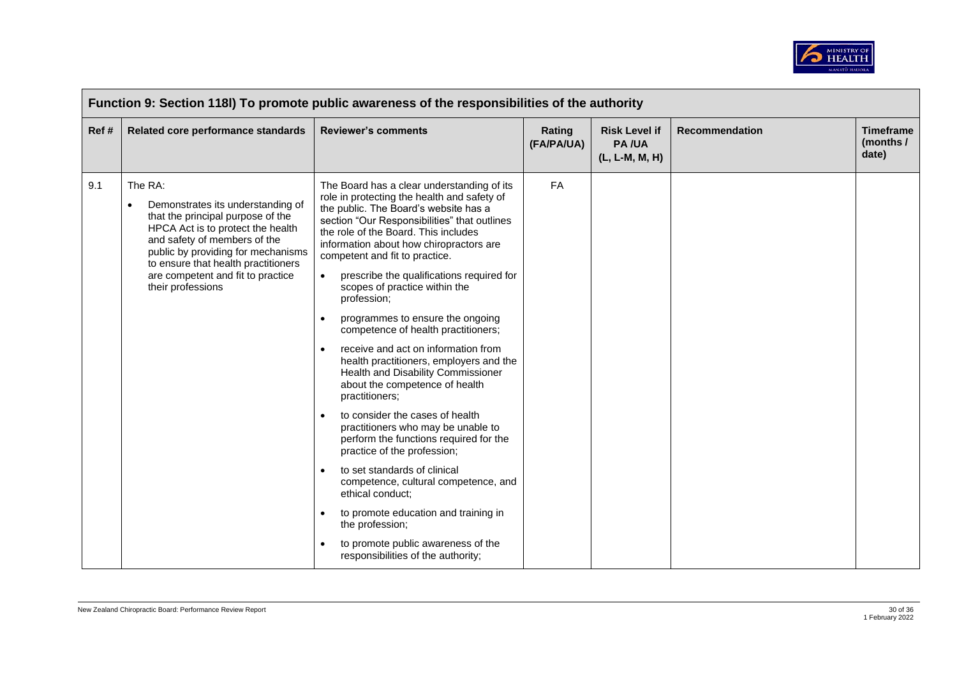

| Function 9: Section 118I) To promote public awareness of the responsibilities of the authority |                                                                                                                                                                                                                                                                                               |                                                                                                                                                                                                                                                                                                                                                                                                                                                                                                                                                                                                                                                                                                                                                                                                                                                                                                                                                                                                                                                                                                                                             |                      |                                                        |                       |                                        |  |  |
|------------------------------------------------------------------------------------------------|-----------------------------------------------------------------------------------------------------------------------------------------------------------------------------------------------------------------------------------------------------------------------------------------------|---------------------------------------------------------------------------------------------------------------------------------------------------------------------------------------------------------------------------------------------------------------------------------------------------------------------------------------------------------------------------------------------------------------------------------------------------------------------------------------------------------------------------------------------------------------------------------------------------------------------------------------------------------------------------------------------------------------------------------------------------------------------------------------------------------------------------------------------------------------------------------------------------------------------------------------------------------------------------------------------------------------------------------------------------------------------------------------------------------------------------------------------|----------------------|--------------------------------------------------------|-----------------------|----------------------------------------|--|--|
| Ref#                                                                                           | Related core performance standards                                                                                                                                                                                                                                                            | <b>Reviewer's comments</b>                                                                                                                                                                                                                                                                                                                                                                                                                                                                                                                                                                                                                                                                                                                                                                                                                                                                                                                                                                                                                                                                                                                  | Rating<br>(FA/PA/UA) | <b>Risk Level if</b><br><b>PA/UA</b><br>(L, L-M, M, H) | <b>Recommendation</b> | <b>Timeframe</b><br>(months /<br>date) |  |  |
| 9.1                                                                                            | The RA:<br>Demonstrates its understanding of<br>that the principal purpose of the<br>HPCA Act is to protect the health<br>and safety of members of the<br>public by providing for mechanisms<br>to ensure that health practitioners<br>are competent and fit to practice<br>their professions | The Board has a clear understanding of its<br>role in protecting the health and safety of<br>the public. The Board's website has a<br>section "Our Responsibilities" that outlines<br>the role of the Board. This includes<br>information about how chiropractors are<br>competent and fit to practice.<br>prescribe the qualifications required for<br>$\bullet$<br>scopes of practice within the<br>profession;<br>programmes to ensure the ongoing<br>$\bullet$<br>competence of health practitioners;<br>receive and act on information from<br>$\bullet$<br>health practitioners, employers and the<br>Health and Disability Commissioner<br>about the competence of health<br>practitioners;<br>to consider the cases of health<br>$\bullet$<br>practitioners who may be unable to<br>perform the functions required for the<br>practice of the profession;<br>to set standards of clinical<br>$\bullet$<br>competence, cultural competence, and<br>ethical conduct;<br>to promote education and training in<br>$\bullet$<br>the profession;<br>to promote public awareness of the<br>$\bullet$<br>responsibilities of the authority; | <b>FA</b>            |                                                        |                       |                                        |  |  |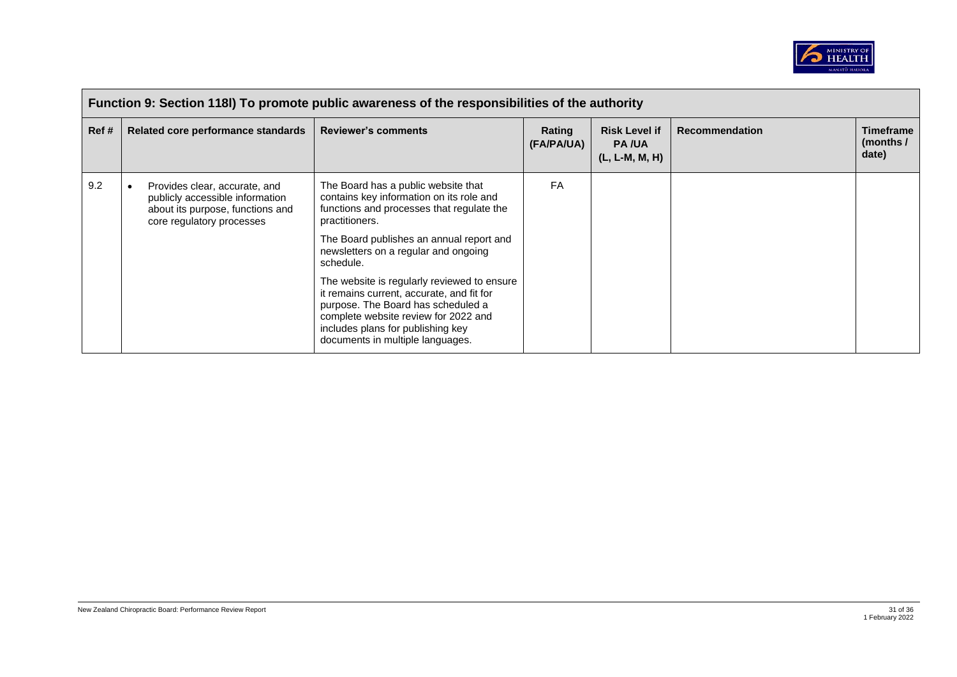

| Function 9: Section 118I) To promote public awareness of the responsibilities of the authority |                                                                                                                                   |                                                                                                                                                                                                                                                                                                                                                                                                                                                                                                    |                      |                                                          |                       |                                        |  |  |
|------------------------------------------------------------------------------------------------|-----------------------------------------------------------------------------------------------------------------------------------|----------------------------------------------------------------------------------------------------------------------------------------------------------------------------------------------------------------------------------------------------------------------------------------------------------------------------------------------------------------------------------------------------------------------------------------------------------------------------------------------------|----------------------|----------------------------------------------------------|-----------------------|----------------------------------------|--|--|
| Ref #                                                                                          | Related core performance standards                                                                                                | <b>Reviewer's comments</b>                                                                                                                                                                                                                                                                                                                                                                                                                                                                         | Rating<br>(FA/PA/UA) | <b>Risk Level if</b><br><b>PA/UA</b><br>$(L, L-M, M, H)$ | <b>Recommendation</b> | <b>Timeframe</b><br>(months /<br>date) |  |  |
| 9.2                                                                                            | Provides clear, accurate, and<br>publicly accessible information<br>about its purpose, functions and<br>core regulatory processes | The Board has a public website that<br>contains key information on its role and<br>functions and processes that regulate the<br>practitioners.<br>The Board publishes an annual report and<br>newsletters on a regular and ongoing<br>schedule.<br>The website is regularly reviewed to ensure<br>it remains current, accurate, and fit for<br>purpose. The Board has scheduled a<br>complete website review for 2022 and<br>includes plans for publishing key<br>documents in multiple languages. | FA                   |                                                          |                       |                                        |  |  |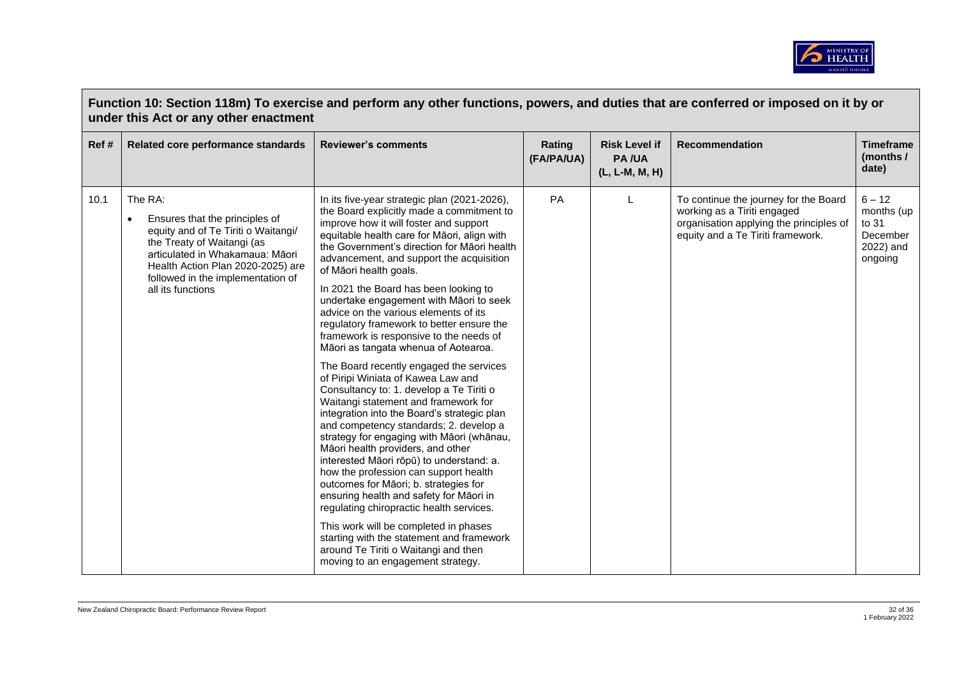

| Function 10: Section 118m) To exercise and perform any other functions, powers, and duties that are conferred or imposed on it by or<br>under this Act or any other enactment |                                                                                                                                                                                                                                                       |                                                                                                                                                                                                                                                                                                                                                                                                                                                                                                                                                                                                                                                                                                                                                                                                                                                                                                                                                                                                                                                                                                                                                                                                                                                                                                              |                      |                                                        |                                                                                                                                                      |                                                                     |  |  |
|-------------------------------------------------------------------------------------------------------------------------------------------------------------------------------|-------------------------------------------------------------------------------------------------------------------------------------------------------------------------------------------------------------------------------------------------------|--------------------------------------------------------------------------------------------------------------------------------------------------------------------------------------------------------------------------------------------------------------------------------------------------------------------------------------------------------------------------------------------------------------------------------------------------------------------------------------------------------------------------------------------------------------------------------------------------------------------------------------------------------------------------------------------------------------------------------------------------------------------------------------------------------------------------------------------------------------------------------------------------------------------------------------------------------------------------------------------------------------------------------------------------------------------------------------------------------------------------------------------------------------------------------------------------------------------------------------------------------------------------------------------------------------|----------------------|--------------------------------------------------------|------------------------------------------------------------------------------------------------------------------------------------------------------|---------------------------------------------------------------------|--|--|
| Ref #                                                                                                                                                                         | Related core performance standards                                                                                                                                                                                                                    | <b>Reviewer's comments</b>                                                                                                                                                                                                                                                                                                                                                                                                                                                                                                                                                                                                                                                                                                                                                                                                                                                                                                                                                                                                                                                                                                                                                                                                                                                                                   | Rating<br>(FA/PA/UA) | <b>Risk Level if</b><br><b>PA/UA</b><br>(L, L-M, M, H) | <b>Recommendation</b>                                                                                                                                | <b>Timeframe</b><br>(months /<br>date)                              |  |  |
| 10.1                                                                                                                                                                          | The RA:<br>Ensures that the principles of<br>٠<br>equity and of Te Tiriti o Waitangi/<br>the Treaty of Waitangi (as<br>articulated in Whakamaua: Māori<br>Health Action Plan 2020-2025) are<br>followed in the implementation of<br>all its functions | In its five-year strategic plan (2021-2026),<br>the Board explicitly made a commitment to<br>improve how it will foster and support<br>equitable health care for Māori, align with<br>the Government's direction for Maori health<br>advancement, and support the acquisition<br>of Māori health goals.<br>In 2021 the Board has been looking to<br>undertake engagement with Māori to seek<br>advice on the various elements of its<br>regulatory framework to better ensure the<br>framework is responsive to the needs of<br>Māori as tangata whenua of Aotearoa.<br>The Board recently engaged the services<br>of Piripi Winiata of Kawea Law and<br>Consultancy to: 1. develop a Te Tiriti o<br>Waitangi statement and framework for<br>integration into the Board's strategic plan<br>and competency standards; 2. develop a<br>strategy for engaging with Māori (whānau,<br>Māori health providers, and other<br>interested Māori rōpū) to understand: a.<br>how the profession can support health<br>outcomes for Māori; b. strategies for<br>ensuring health and safety for Māori in<br>regulating chiropractic health services.<br>This work will be completed in phases<br>starting with the statement and framework<br>around Te Tiriti o Waitangi and then<br>moving to an engagement strategy. | PA                   |                                                        | To continue the journey for the Board<br>working as a Tiriti engaged<br>organisation applying the principles of<br>equity and a Te Tiriti framework. | $6 - 12$<br>months (up<br>to 31<br>December<br>2022) and<br>ongoing |  |  |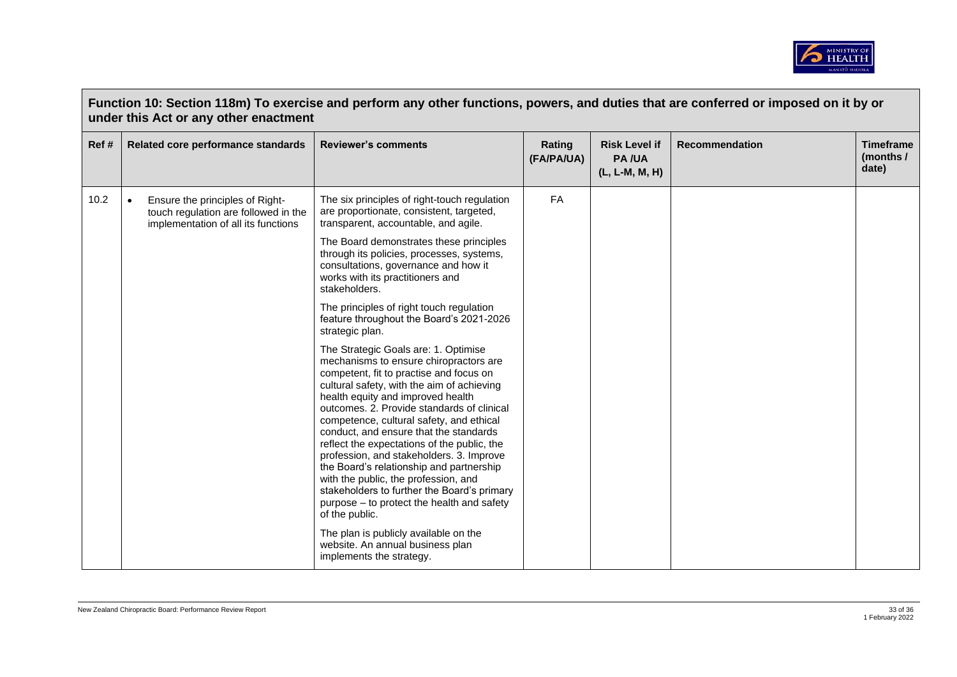

| Function 10: Section 118m) To exercise and perform any other functions, powers, and duties that are conferred or imposed on it by or<br>under this Act or any other enactment |                                                                                                                             |                                                                                                                                                                                                                                                                                                                                                                                                                                                                                                                                                                                                                                                |                      |                                                        |                       |                                        |  |
|-------------------------------------------------------------------------------------------------------------------------------------------------------------------------------|-----------------------------------------------------------------------------------------------------------------------------|------------------------------------------------------------------------------------------------------------------------------------------------------------------------------------------------------------------------------------------------------------------------------------------------------------------------------------------------------------------------------------------------------------------------------------------------------------------------------------------------------------------------------------------------------------------------------------------------------------------------------------------------|----------------------|--------------------------------------------------------|-----------------------|----------------------------------------|--|
| Ref#                                                                                                                                                                          | Related core performance standards                                                                                          | <b>Reviewer's comments</b>                                                                                                                                                                                                                                                                                                                                                                                                                                                                                                                                                                                                                     | Rating<br>(FA/PA/UA) | <b>Risk Level if</b><br><b>PA/UA</b><br>(L, L-M, M, H) | <b>Recommendation</b> | <b>Timeframe</b><br>(months /<br>date) |  |
| 10.2                                                                                                                                                                          | Ensure the principles of Right-<br>$\bullet$<br>touch regulation are followed in the<br>implementation of all its functions | The six principles of right-touch regulation<br>are proportionate, consistent, targeted,<br>transparent, accountable, and agile.                                                                                                                                                                                                                                                                                                                                                                                                                                                                                                               | FA                   |                                                        |                       |                                        |  |
|                                                                                                                                                                               |                                                                                                                             | The Board demonstrates these principles<br>through its policies, processes, systems,<br>consultations, governance and how it<br>works with its practitioners and<br>stakeholders.                                                                                                                                                                                                                                                                                                                                                                                                                                                              |                      |                                                        |                       |                                        |  |
|                                                                                                                                                                               |                                                                                                                             | The principles of right touch regulation<br>feature throughout the Board's 2021-2026<br>strategic plan.                                                                                                                                                                                                                                                                                                                                                                                                                                                                                                                                        |                      |                                                        |                       |                                        |  |
|                                                                                                                                                                               |                                                                                                                             | The Strategic Goals are: 1. Optimise<br>mechanisms to ensure chiropractors are<br>competent, fit to practise and focus on<br>cultural safety, with the aim of achieving<br>health equity and improved health<br>outcomes, 2. Provide standards of clinical<br>competence, cultural safety, and ethical<br>conduct, and ensure that the standards<br>reflect the expectations of the public, the<br>profession, and stakeholders. 3. Improve<br>the Board's relationship and partnership<br>with the public, the profession, and<br>stakeholders to further the Board's primary<br>purpose – to protect the health and safety<br>of the public. |                      |                                                        |                       |                                        |  |
|                                                                                                                                                                               |                                                                                                                             | The plan is publicly available on the<br>website. An annual business plan<br>implements the strategy.                                                                                                                                                                                                                                                                                                                                                                                                                                                                                                                                          |                      |                                                        |                       |                                        |  |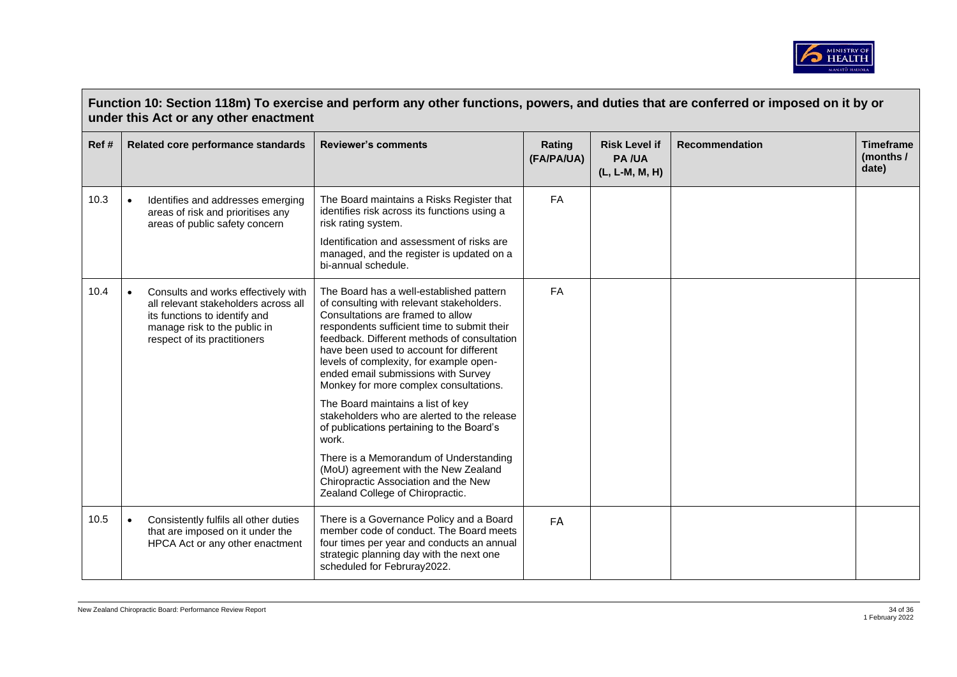

|       | Function 10: Section 118m) To exercise and perform any other functions, powers, and duties that are conferred or imposed on it by or<br>under this Act or any other enactment |                                                                                                                                                                              |                                                                                                                                                                                                                                                                                                                                                                                                 |                      |                                                        |                       |                                        |  |
|-------|-------------------------------------------------------------------------------------------------------------------------------------------------------------------------------|------------------------------------------------------------------------------------------------------------------------------------------------------------------------------|-------------------------------------------------------------------------------------------------------------------------------------------------------------------------------------------------------------------------------------------------------------------------------------------------------------------------------------------------------------------------------------------------|----------------------|--------------------------------------------------------|-----------------------|----------------------------------------|--|
| Ref # |                                                                                                                                                                               | Related core performance standards                                                                                                                                           | <b>Reviewer's comments</b>                                                                                                                                                                                                                                                                                                                                                                      | Rating<br>(FA/PA/UA) | <b>Risk Level if</b><br><b>PA/UA</b><br>(L, L-M, M, H) | <b>Recommendation</b> | <b>Timeframe</b><br>(months /<br>date) |  |
| 10.3  | $\bullet$                                                                                                                                                                     | Identifies and addresses emerging<br>areas of risk and prioritises any<br>areas of public safety concern                                                                     | The Board maintains a Risks Register that<br>identifies risk across its functions using a<br>risk rating system.                                                                                                                                                                                                                                                                                | FA                   |                                                        |                       |                                        |  |
|       |                                                                                                                                                                               |                                                                                                                                                                              | Identification and assessment of risks are<br>managed, and the register is updated on a<br>bi-annual schedule.                                                                                                                                                                                                                                                                                  |                      |                                                        |                       |                                        |  |
| 10.4  | $\bullet$                                                                                                                                                                     | Consults and works effectively with<br>all relevant stakeholders across all<br>its functions to identify and<br>manage risk to the public in<br>respect of its practitioners | The Board has a well-established pattern<br>of consulting with relevant stakeholders.<br>Consultations are framed to allow<br>respondents sufficient time to submit their<br>feedback. Different methods of consultation<br>have been used to account for different<br>levels of complexity, for example open-<br>ended email submissions with Survey<br>Monkey for more complex consultations. | <b>FA</b>            |                                                        |                       |                                        |  |
|       |                                                                                                                                                                               |                                                                                                                                                                              | The Board maintains a list of key<br>stakeholders who are alerted to the release<br>of publications pertaining to the Board's<br>work.                                                                                                                                                                                                                                                          |                      |                                                        |                       |                                        |  |
|       |                                                                                                                                                                               |                                                                                                                                                                              | There is a Memorandum of Understanding<br>(MoU) agreement with the New Zealand<br>Chiropractic Association and the New<br>Zealand College of Chiropractic.                                                                                                                                                                                                                                      |                      |                                                        |                       |                                        |  |
| 10.5  |                                                                                                                                                                               | Consistently fulfils all other duties<br>that are imposed on it under the<br>HPCA Act or any other enactment                                                                 | There is a Governance Policy and a Board<br>member code of conduct. The Board meets<br>four times per year and conducts an annual<br>strategic planning day with the next one<br>scheduled for Februray2022.                                                                                                                                                                                    | FA                   |                                                        |                       |                                        |  |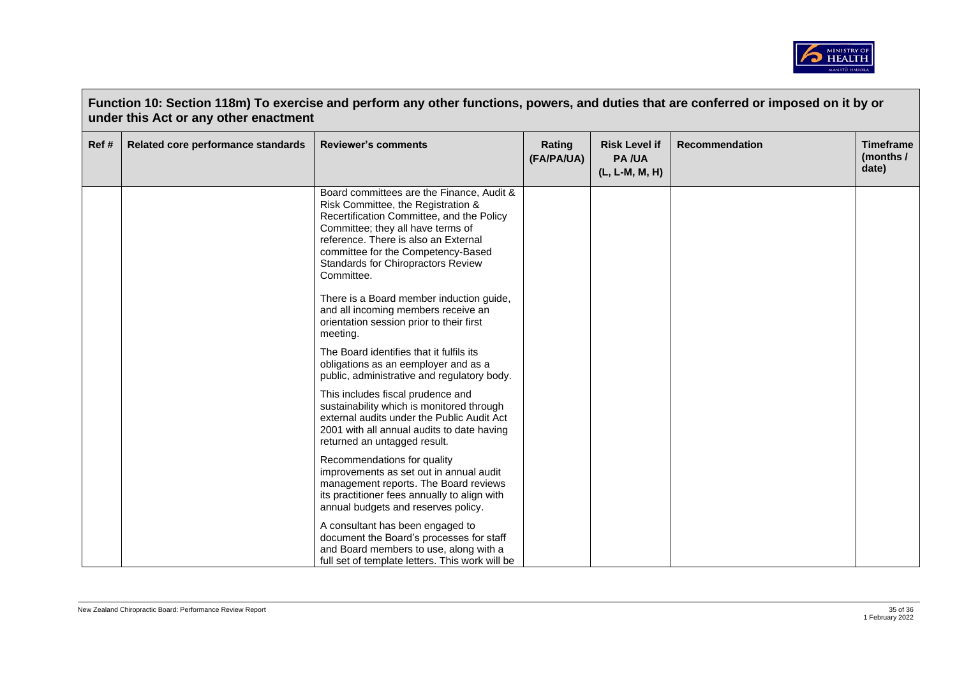

| Ref# | Related core performance standards | <b>Reviewer's comments</b>                                                                                                                                                                                                                                                                          | Rating<br>(FA/PA/UA) | <b>Risk Level if</b><br><b>PA/UA</b><br>(L, L-M, M, H) | Recommendation | <b>Timeframe</b><br>(months /<br>date) |
|------|------------------------------------|-----------------------------------------------------------------------------------------------------------------------------------------------------------------------------------------------------------------------------------------------------------------------------------------------------|----------------------|--------------------------------------------------------|----------------|----------------------------------------|
|      |                                    | Board committees are the Finance, Audit &<br>Risk Committee, the Registration &<br>Recertification Committee, and the Policy<br>Committee; they all have terms of<br>reference. There is also an External<br>committee for the Competency-Based<br>Standards for Chiropractors Review<br>Committee. |                      |                                                        |                |                                        |
|      |                                    | There is a Board member induction guide,<br>and all incoming members receive an<br>orientation session prior to their first<br>meeting.                                                                                                                                                             |                      |                                                        |                |                                        |
|      |                                    | The Board identifies that it fulfils its<br>obligations as an eemployer and as a<br>public, administrative and regulatory body.                                                                                                                                                                     |                      |                                                        |                |                                        |
|      |                                    | This includes fiscal prudence and<br>sustainability which is monitored through<br>external audits under the Public Audit Act<br>2001 with all annual audits to date having<br>returned an untagged result.                                                                                          |                      |                                                        |                |                                        |
|      |                                    | Recommendations for quality<br>improvements as set out in annual audit<br>management reports. The Board reviews<br>its practitioner fees annually to align with<br>annual budgets and reserves policy.                                                                                              |                      |                                                        |                |                                        |
|      |                                    | A consultant has been engaged to<br>document the Board's processes for staff<br>and Board members to use, along with a<br>full set of template letters. This work will be                                                                                                                           |                      |                                                        |                |                                        |

 $\sqrt{2}$